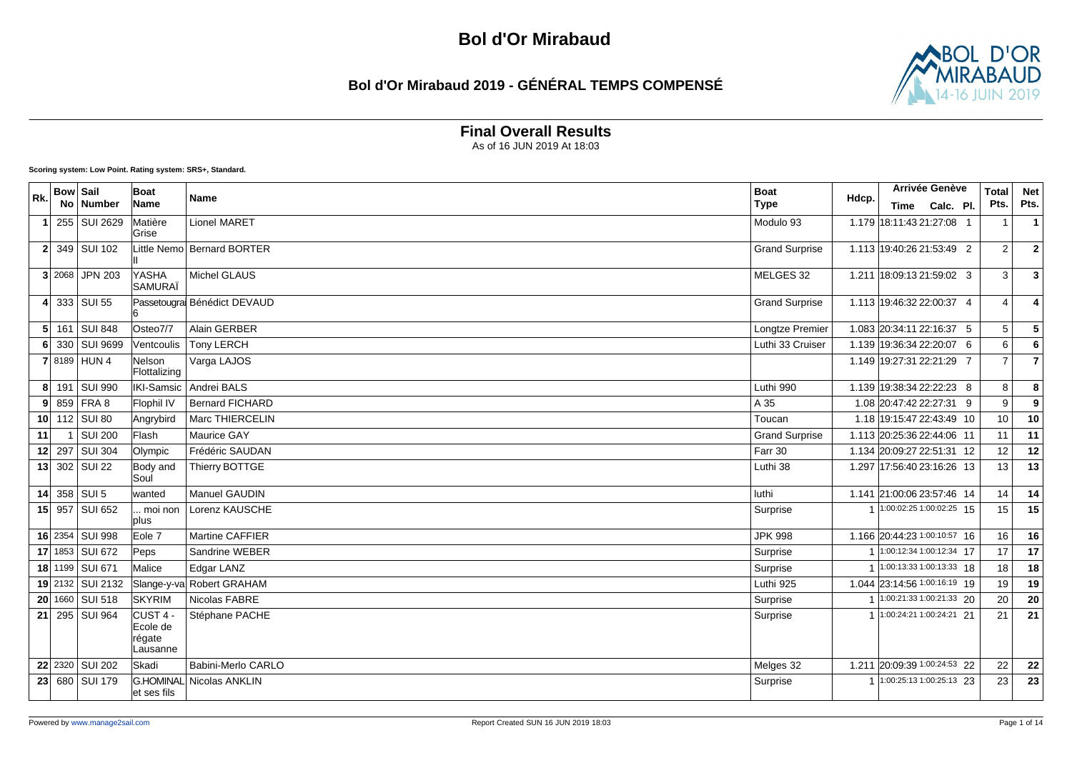### **Bol d'Or Mirabaud 2019 - GÉNÉRAL TEMPS COMPENSÉ**



**Final Overall Results**

As of 16 JUN 2019 At 18:03

**Scoring system: Low Point. Rating system: SRS+, Standard.**

| Rk. | <b>Bow Sail</b> |                  | Boat                                                  | Name                        | <b>Boat</b>           | Hdcp. | Arrivée Genève               | <b>Total</b>    | <b>Net</b>              |
|-----|-----------------|------------------|-------------------------------------------------------|-----------------------------|-----------------------|-------|------------------------------|-----------------|-------------------------|
|     |                 | No   Number      | Name                                                  |                             | <b>Type</b>           |       | Time Calc. Pl.               | Pts.            | Pts.                    |
| -1  |                 | 255 SUI 2629     | Matière<br>lGrise                                     | <b>Lionel MARET</b>         | Modulo 93             |       | 1.179 18:11:43 21:27:08 1    | -1              | $\overline{1}$          |
|     |                 | 2 349 SUI 102    |                                                       | Little Nemol Bernard BORTER | <b>Grand Surprise</b> |       | 1.113 19:40:26 21:53:49 2    | $\overline{2}$  | $\overline{2}$          |
|     |                 | $3$ 2068 JPN 203 | YASHA<br><b>SAMURAÏ</b>                               | Michel GLAUS                | MELGES 32             |       | 1.211 18:09:13 21:59:02 3    | 3               | $\overline{\mathbf{3}}$ |
|     |                 | 4 333 SUI 55     |                                                       | Passetougra Bénédict DEVAUD | <b>Grand Surprise</b> |       | 1.113 19:46:32 22:00:37 4    | $\overline{4}$  | $\boldsymbol{\Lambda}$  |
|     |                 | 5 161 SUI 848    | Osteo7/7                                              | Alain GERBER                | Longtze Premier       |       | 1.083 20:34:11 22:16:37 5    | $5\phantom{.0}$ | ${\bf 5}$               |
|     |                 | 6 330 SUI 9699   | Ventcoulis                                            | <b>Tony LERCH</b>           | Luthi 33 Cruiser      |       | 1.139 19:36:34 22:20:07 6    | 6               | $6\phantom{1}6$         |
|     |                 | 7 8189 HUN 4     | Nelson<br>Flottalizing                                | Varga LAJOS                 |                       |       | 1.149 19:27:31 22:21:29 7    | $\overline{7}$  | $\overline{7}$          |
|     |                 | 8 191 SUI 990    | IKI-Samsic                                            | Andrei BALS                 | Luthi 990             |       | 1.139 19:38:34 22:22:23 8    | 8               | 8                       |
|     |                 | $9$ 859 FRA 8    | Flophil IV                                            | <b>Bernard FICHARD</b>      | A 35                  |       | 1.08 20:47:42 22:27:31 9     | 9               | 9                       |
|     |                 | 10 $112$ SUI 80  | Angrybird                                             | Marc THIERCELIN             | Toucan                |       | 1.18 19:15:47 22:43:49 10    | 10              | 10                      |
| 11  | $\mathbf{1}$    | <b>SUI 200</b>   | Flash                                                 | Maurice GAY                 | <b>Grand Surprise</b> |       | 1.113 20:25:36 22:44:06 11   | 11              | 11                      |
|     |                 | 12 297 SUI 304   | Olympic                                               | Frédéric SAUDAN             | Farr 30               |       | 1.134 20:09:27 22:51:31 12   | 12              | 12                      |
|     |                 | 13 302 SUI 22    | Body and<br>İSoul                                     | Thierry BOTTGE              | Luthi 38              |       | 1.297 17:56:40 23:16:26 13   | 13              | 13                      |
|     |                 | 14 358 SUI 5     | wanted                                                | Manuel GAUDIN               | luthi                 |       | 1.141 21:00:06 23:57:46 14   | 14              | 14                      |
|     |                 | 15 957 SUI 652   | moi non<br>plus                                       | Lorenz KAUSCHE              | Surprise              |       | 1:00:02:25 1:00:02:25 15     | 15              | 15                      |
|     |                 | 16 2354 SUI 998  | Eole 7                                                | Martine CAFFIER             | <b>JPK 998</b>        |       | 1.166 20:44:23 1:00:10:57 16 | 16              | 16                      |
|     |                 | 17 1853 SUI 672  | Peps                                                  | Sandrine WEBER              | Surprise              |       | 1:00:12:34 1:00:12:34 17     | 17              | 17                      |
|     |                 | 18 1199 SUI 671  | Malice                                                | Edgar LANZ                  | Surprise              |       | $1:00:13:331:00:13:33$ 18    | 18              | 18                      |
|     |                 | 19 2132 SUI 2132 |                                                       | Slange-y-va Robert GRAHAM   | Luthi 925             |       | 1.044 23:14:56 1:00:16:19 19 | 19              | 19                      |
|     |                 | 20 1660 SUI 518  | <b>SKYRIM</b>                                         | Nicolas FABRE               | Surprise              |       | $1:00:21:331:00:21:33$ 20    | 20              | 20                      |
|     |                 | 21 295 SUI 964   | CUST <sub>4</sub> -<br>Ecole de<br>régate<br>Lausanne | Stéphane PACHE              | Surprise              |       | 1:00:24:21 1:00:24:21 21     | 21              | 21                      |
|     |                 | 22 2320 SUI 202  | Skadi                                                 | Babini-Merlo CARLO          | Melges 32             |       | 1.211 20:09:39 1:00:24:53 22 | 22              | 22                      |
|     |                 | 23 680 SUI 179   | <b>G.HOMINAL</b><br>et ses fils                       | Nicolas ANKLIN              | Surprise              |       | 1 1:00:25:13 1:00:25:13 23   | 23              | 23                      |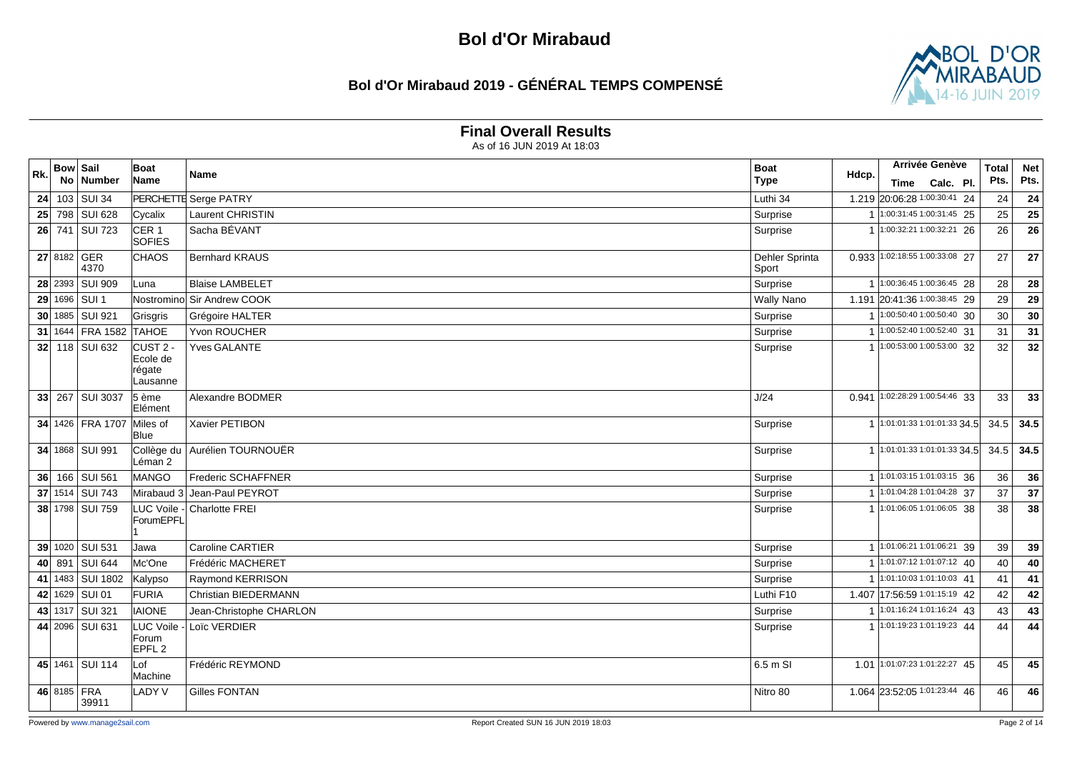### **Bol d'Or Mirabaud 2019 - GÉNÉRAL TEMPS COMPENSÉ**



#### **Final Overall Results**

| Rk. | <b>Bow Sail</b>      | <b>Boat</b>                                         | Name                        | <b>Boat</b>             | Hdcp.                | Arrivée Genève                    |           | <b>Total</b> | <b>Net</b> |
|-----|----------------------|-----------------------------------------------------|-----------------------------|-------------------------|----------------------|-----------------------------------|-----------|--------------|------------|
|     | No Number            | Name                                                |                             | <b>Type</b>             |                      | Time                              | Calc. Pl. | Pts.         | Pts.       |
|     | 24 103 SUI 34        |                                                     | PERCHETTE Serge PATRY       | Luthi 34                |                      | 1.219 20:06:28 1:00:30:41 24      |           | 24           | 24         |
|     | 25 798 SUI 628       | Cycalix                                             | <b>Laurent CHRISTIN</b>     | Surprise                | $\overline{1}$       | $1:00:31:451:00:31:45$ 25         |           | 25           | 25         |
|     | 26 741 SUI 723       | CER <sub>1</sub><br><b>SOFIES</b>                   | Sacha BÉVANT                | Surprise                |                      | $1:00:32:211:00:32:21$ 26         |           | 26           | 26         |
|     | 27 8182 GER<br>4370  | <b>CHAOS</b>                                        | <b>Bernhard KRAUS</b>       | Dehler Sprinta<br>Sport |                      | 0.933 1:02:18:55 1:00:33:08 27    |           | 27           | 27         |
|     | 28 2393 SUI 909      | Luna                                                | <b>Blaise LAMBELET</b>      | Surprise                |                      | 1 1:00:36:45 1:00:36:45 28        |           | 28           | 28         |
|     | 29 1696 SUI 1        |                                                     | Nostrominol Sir Andrew COOK | <b>Wally Nano</b>       |                      | 1.191 20:41:36 1:00:38:45 29      |           | 29           | 29         |
|     | 30 1885 SUI 921      | Grisgris                                            | Grégoire HALTER             | Surprise                |                      | $1:00:50:401:00:50:40$ 30         |           | 30           | 30         |
|     | 31 1644 FRA 1582     | <b>TAHOE</b>                                        | <b>Yvon ROUCHER</b>         | Surprise                | $\overline{1}$       | $1:00:52:401:00:52:40$ 31         |           | 31           | 31         |
|     | 32 118 SUI 632       | CUST <sub>2</sub><br>Ecole de<br>régate<br>Lausanne | <b>Yves GALANTE</b>         | Surprise                |                      | 1 1:00:53:00 1:00:53:00 32        |           | 32           | 32         |
|     | 33 267 SUI 3037      | $5 \n\text{`e}$<br>Elément                          | Alexandre BODMER            | J/24                    | 0.941                | 1:02:28:29 1:00:54:46 33          |           | 33           | 33         |
|     | 34 1426 FRA 1707     | Miles of<br>Blue                                    | Xavier PETIBON              | Surprise                |                      | 1 1:01:01:33 1:01:01:33 34.5      |           | 34.5         | 34.5       |
|     | 34 1868 SUI 991      | Collège du<br>Léman 2                               | Aurélien TOURNOUËR          | Surprise                |                      | 1 1:01:01:33 1:01:01:33 34.5      |           | 34.5         | 34.5       |
|     | 36 166 SUI 561       | MANGO                                               | Frederic SCHAFFNER          | Surprise                |                      | 1 1:01:03:15 1:01:03:15 36        |           | 36           | 36         |
|     | 37 1514 SUI 743      | Mirabaud 3                                          | Jean-Paul PEYROT            | Surprise                |                      | 1 1:01:04:28 1:01:04:28 37        |           | 37           | 37         |
|     | 38 1798 SUI 759      | ForumEPFL                                           | LUC Voile - Charlotte FREI  | Surprise                |                      | 1:01:06:05 1:01:06:05 38          |           | 38           | 38         |
|     | 39 1020 SUI 531      | Jawa                                                | <b>Caroline CARTIER</b>     | Surprise                |                      | 1:01:06:21 1:01:06:21 39          |           | 39           | 39         |
|     | 40 891 SUI 644       | Mc'One                                              | Frédéric MACHERET           | Surprise                | $\blacktriangleleft$ | $\sqrt{1:01:07:12}$ 1:01:07:12 40 |           | 40           | 40         |
|     | 41 1483 SUI 1802     | Kalypso                                             | Raymond KERRISON            | Surprise                |                      | 1 1:01:10:03 1:01:10:03 41        |           | 41           | 41         |
|     | 42 1629 SUI 01       | FURIA                                               | <b>Christian BIEDERMANN</b> | Luthi F10               |                      | 1.407 17:56:59 1:01:15:19 42      |           | 42           | 42         |
|     | 43 1317 SUI 321      | <b>IAIONE</b>                                       | Jean-Christophe CHARLON     | Surprise                |                      | $1:01:16:24$ 1:01:16:24 43        |           | 43           | 43         |
|     | 44 2096 SUI 631      | Forum<br>EPFL <sub>2</sub>                          | LUC Voile - Loïc VERDIER    | Surprise                |                      | 1 1:01:19:23 1:01:19:23 44        |           | 44           | 44         |
|     | 45 1461 SUI 114      | Lof<br>Machine                                      | Frédéric REYMOND            | 6.5 m SI                |                      | 1.01 1:01:07:23 1:01:22:27 45     |           | 45           | 45         |
|     | 46 8185 FRA<br>39911 | <b>LADY V</b>                                       | <b>Gilles FONTAN</b>        | Nitro 80                |                      | 1.064 23:52:05 1:01:23:44 46      |           | 46           | 46         |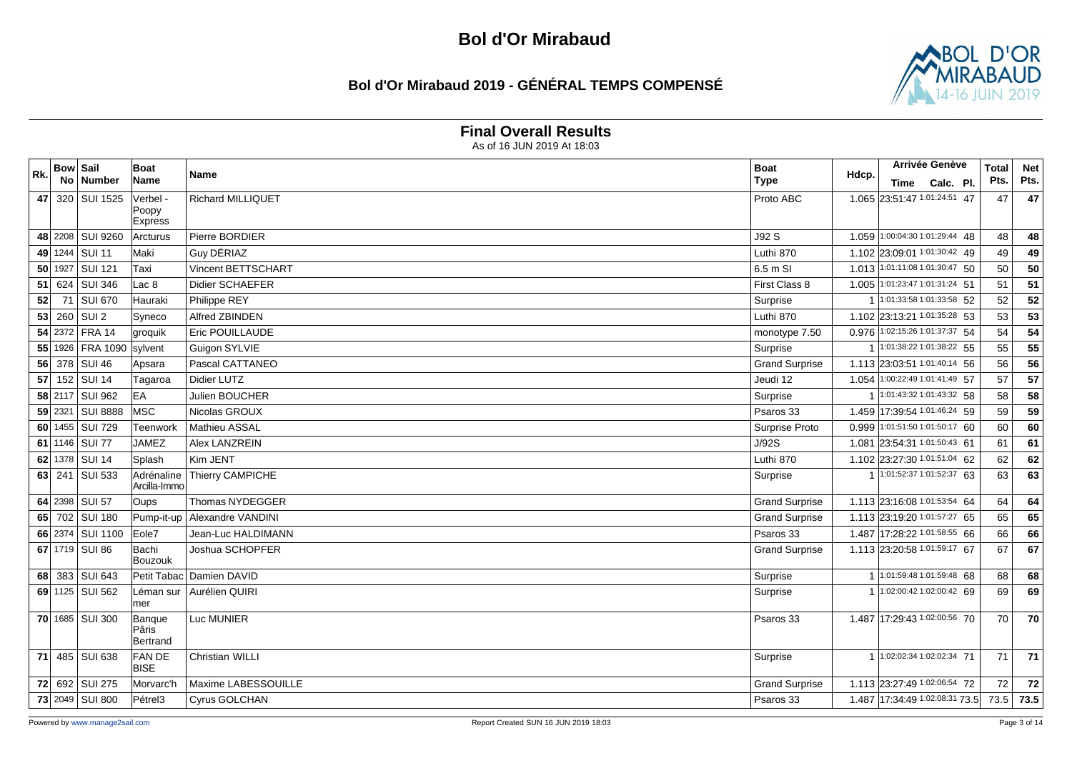### **Bol d'Or Mirabaud 2019 - GÉNÉRAL TEMPS COMPENSÉ**



#### **Final Overall Results**

| Rk. | <b>Bow Sail</b> |                  | <b>Boat</b>                  | Name                     | <b>Boat</b>           |       | <b>Arrivée Genève</b>          |                | <b>Total</b> | <b>Net</b> |
|-----|-----------------|------------------|------------------------------|--------------------------|-----------------------|-------|--------------------------------|----------------|--------------|------------|
|     |                 | No Number        | Name                         |                          | <b>Type</b>           | Hdcp. |                                | Time Calc. Pl. | Pts.         | Pts.       |
|     |                 | 47 320 SUI 1525  | Verbel -                     | Richard MILLIQUET        | Proto ABC             |       | 1.065 23:51:47 1:01:24:51 47   |                | 47           | 47         |
|     |                 |                  | Poopy<br><b>Express</b>      |                          |                       |       |                                |                |              |            |
|     |                 | 48 2208 SUI 9260 | <b>Arcturus</b>              | Pierre BORDIER           | J92S                  |       | 1.059 1:00:04:30 1:01:29:44 48 |                | 48           | 48         |
|     |                 | 49 1244 SUI 11   | Maki                         | Guy DÉRIAZ               | Luthi 870             |       | 1.102 23:09:01 1:01:30:42 49   |                | 49           | 49         |
|     |                 | 50 1927 SUI 121  | Taxi                         | Vincent BETTSCHART       | 6.5 m SI              |       | 1.013 1:01:11:08 1:01:30:47 50 |                | 50           | 50         |
| 51  |                 | 624 SUI 346      | Lac 8                        | Didier SCHAEFER          | First Class 8         |       | 1.005 1:01:23:47 1:01:31:24 51 |                | 51           | 51         |
| 52  |                 | 71 SUI 670       | Hauraki                      | Philippe REY             | Surprise              |       | $1:01:33:581:01:33:58$ 52      |                | 52           | 52         |
|     |                 | $53$ 260 SUI 2   | Syneco                       | Alfred ZBINDEN           | Luthi 870             |       | 1.102 23:13:21 1:01:35:28 53   |                | 53           | 53         |
|     |                 | 54 2372 FRA 14   | groquik                      | <b>Eric POUILLAUDE</b>   | monotype 7.50         |       | 0.976 1:02:15:26 1:01:37:37 54 |                | 54           | 54         |
|     |                 | 55 1926 FRA 1090 | sylvent                      | Guigon SYLVIE            | Surprise              |       | 1 1:01:38:22 1:01:38:22 55     |                | 55           | 55         |
|     |                 | 56 378 SUI 46    | Apsara                       | Pascal CATTANEO          | <b>Grand Surprise</b> |       | 1.113 23:03:51 1:01:40:14 56   |                | 56           | 56         |
|     |                 | 57 152 SUI 14    | Tagaroa                      | Didier LUTZ              | Jeudi 12              |       | 1.054 1:00:22:49 1:01:41:49 57 |                | 57           | 57         |
|     |                 | 58 2117 SUI 962  | EA                           | Julien BOUCHER           | Surprise              |       | 1 1:01:43:32 1:01:43:32 58     |                | 58           | 58         |
|     |                 | 59 2321 SUI 8888 | <b>IMSC</b>                  | Nicolas GROUX            | Psaros 33             |       | 1.459 17:39:54 1:01:46:24 59   |                | 59           | 59         |
|     |                 | 60 1455 SUI 729  | <b>Teenwork</b>              | Mathieu ASSAL            | Surprise Proto        | 0.999 | 1:01:51:50 1:01:50:17 60       |                | 60           | 60         |
|     |                 | 61 1146 SUI 77   | <b>JAMEZ</b>                 | <b>Alex LANZREIN</b>     | J/92S                 |       | 1.081 23:54:31 1:01:50:43 61   |                | 61           | 61         |
|     |                 | 62 1378 SUI 14   | Splash                       | Kim JENT                 | Luthi 870             |       | 1.102 23:27:30 1:01:51:04 62   |                | 62           | 62         |
|     |                 | 63 241 SUI 533   | Adrénaline<br>Arcilla-Immo   | Thierry CAMPICHE         | Surprise              |       | 1 1:01:52:37 1:01:52:37 63     |                | 63           | 63         |
|     |                 | 64 2398 SUI 57   | Oups                         | Thomas NYDEGGER          | <b>Grand Surprise</b> |       | 1.113 23:16:08 1:01:53:54 64   |                | 64           | 64         |
|     |                 | 65 702 SUI 180   | Pump-it-up                   | Alexandre VANDINI        | <b>Grand Surprise</b> |       | 1.113 23:19:20 1:01:57:27 65   |                | 65           | 65         |
|     |                 | 66 2374 SUI 1100 | Eole7                        | Jean-Luc HALDIMANN       | Psaros 33             |       | 1.487 17:28:22 1:01:58:55 66   |                | 66           | 66         |
|     |                 | 67 1719 SUI 86   | Bachi<br>Bouzouk             | Joshua SCHOPFER          | Grand Surprise        |       | 1.113 23:20:58 1:01:59:17 67   |                | 67           | 67         |
|     |                 | 68 383 SUI 643   |                              | Petit Tabac Damien DAVID | Surprise              |       | 1:01:59:48 1:01:59:48 68       |                | 68           | 68         |
|     |                 | 69 1125 SUI 562  | mer                          | Léman sur Aurélien QUIRI | Surprise              | 1     | 1:02:00:42 1:02:00:42 69       |                | 69           | 69         |
|     |                 | 70 1685 SUI 300  | Banque<br>lPâris<br>Bertrand | Luc MUNIER               | Psaros 33             |       | 1.487 17:29:43 1:02:00:56 70   |                | 70           | 70         |
|     |                 | 71 485 SUI 638   | <b>FAN DE</b><br><b>BISE</b> | Christian WILLI          | Surprise              |       | 1:02:02:34 1:02:02:34 71       |                | 71           | 71         |
|     |                 | 72 692 SUI 275   | Morvarc'h                    | Maxime LABESSOUILLE      | <b>Grand Surprise</b> |       | 1.113 23:27:49 1:02:06:54 72   |                | 72           | 72         |
|     |                 | 73 2049 SUI 800  | Pétrel <sub>3</sub>          | Cyrus GOLCHAN            | Psaros 33             |       | 1.487 17:34:49 1:02:08:31 73.5 |                | 73.5         | 73.5       |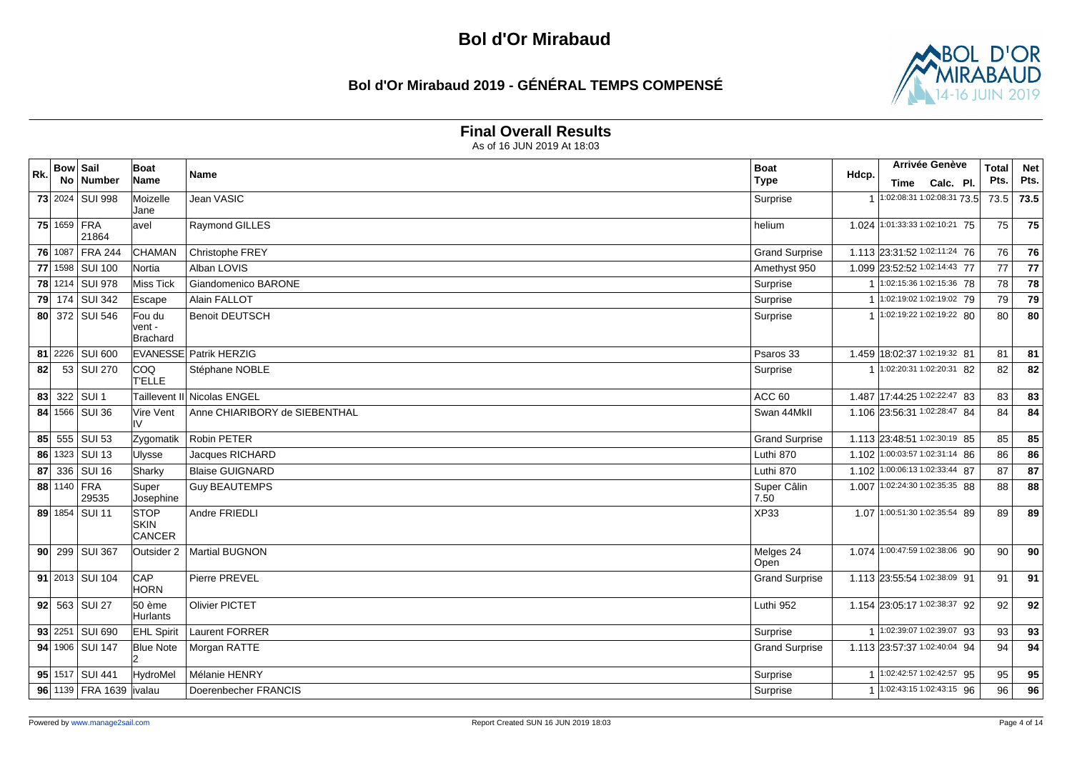### **Bol d'Or Mirabaud 2019 - GÉNÉRAL TEMPS COMPENSÉ**



### **Final Overall Results**

| Rk. | <b>Bow Sail</b> |                         | Boat                                 | Name                          | <b>Boat</b>           |       | Arrivée Genève                 |  | <b>Total</b> | <b>Net</b> |
|-----|-----------------|-------------------------|--------------------------------------|-------------------------------|-----------------------|-------|--------------------------------|--|--------------|------------|
|     |                 | No Number               | Name                                 |                               | <b>Type</b>           | Hdcp. | Time Calc. Pl.                 |  | Pts.         | Pts.       |
|     |                 | 73 2024 SUI 998         | Moizelle                             | Jean VASIC                    | Surprise              |       | 1 1:02:08:31 1:02:08:31 73.5   |  | 73.5         | 73.5       |
|     |                 |                         | Jane                                 |                               |                       |       |                                |  |              |            |
|     |                 | 75 1659 FRA<br>21864    | avel                                 | Raymond GILLES                | helium                |       | 1.024 1:01:33:33 1:02:10:21 75 |  | 75           | 75         |
|     | 76 1087         | <b>FRA 244</b>          | <b>CHAMAN</b>                        | Christophe FREY               | <b>Grand Surprise</b> |       | 1.113 23:31:52 1:02:11:24 76   |  | 76           | 76         |
|     |                 | 77 1598 SUI 100         | <b>Nortia</b>                        | Alban LOVIS                   | Amethyst 950          |       | 1.099 23:52:52 1:02:14:43 77   |  | 77           | 77         |
|     |                 | 78 1214 SUI 978         | Miss Tick                            | Giandomenico BARONE           | Surprise              |       | 1:02:15:36 1:02:15:36 78       |  | 78           | 78         |
| 79  |                 | 174 SUI 342             | Escape                               | Alain FALLOT                  | Surprise              |       | 1 1:02:19:02 1:02:19:02 79     |  | 79           | 79         |
|     |                 | 80 372 SUI 546          | Fou du                               | <b>Benoit DEUTSCH</b>         | Surprise              |       | 1 1:02:19:22 1:02:19:22 80     |  | 80           | 80         |
|     |                 |                         | vent -<br>Brachard                   |                               |                       |       |                                |  |              |            |
|     |                 | 81 2226 SUI 600         |                                      | <b>EVANESSE Patrik HERZIG</b> | Psaros 33             |       | 1.459 18:02:37 1:02:19:32 81   |  | 81           | 81         |
| 82  |                 | 53 SUI 270              | COQ<br><b>TELLE</b>                  | Stéphane NOBLE                | Surprise              |       | 1:02:20:31 1:02:20:31 82       |  | 82           | 82         |
|     |                 | 83 322 SUI 1            |                                      | Taillevent II Nicolas ENGEL   | ACC <sub>60</sub>     |       | 1.487 17:44:25 1:02:22:47 83   |  | 83           | 83         |
|     |                 | 84 1566 SUI 36          | Vire Vent<br>IV                      | Anne CHIARIBORY de SIEBENTHAL | Swan 44MkII           |       | 1.106 23:56:31 1:02:28:47 84   |  | 84           | 84         |
| 85  |                 | 555 SUI 53              | Zygomatik                            | <b>Robin PETER</b>            | <b>Grand Surprise</b> |       | 1.113 23:48:51 1:02:30:19 85   |  | 85           | 85         |
|     |                 | 86 1323 SUI 13          | <b>Ulysse</b>                        | Jacques RICHARD               | Luthi 870             |       | 1.102 1:00:03:57 1:02:31:14 86 |  | 86           | 86         |
| 87  |                 | 336 SUI $16$            | Sharky                               | <b>Blaise GUIGNARD</b>        | Luthi 870             |       | 1.102 1:00:06:13 1:02:33:44 87 |  | 87           | 87         |
|     |                 | 88 1140 FRA<br>29535    | Super<br>Josephine                   | <b>Guy BEAUTEMPS</b>          | Super Câlin<br>7.50   | 1.007 | 1:02:24:30 1:02:35:35 88       |  | 88           | 88         |
|     |                 | 89 1854 SUI 11          | <b>STOP</b><br><b>SKIN</b><br>CANCER | Andre FRIEDLI                 | <b>XP33</b>           |       | 1.07 1:00:51:30 1:02:35:54 89  |  | 89           | 89         |
|     |                 | 90 299 SUI 367          | Outsider 2                           | <b>Martial BUGNON</b>         | Melges 24<br>Open     |       | 1.074 1:00:47:59 1:02:38:06 90 |  | 90           | 90         |
|     |                 | 91 2013 SUI 104         | CAP<br><b>HORN</b>                   | Pierre PREVEL                 | <b>Grand Surprise</b> |       | 1.113 23:55:54 1:02:38:09 91   |  | 91           | 91         |
|     |                 | $92$ 563 SUI 27         | 50 ème<br><b>Hurlants</b>            | <b>Olivier PICTET</b>         | Luthi 952             |       | 1.154 23:05:17 1:02:38:37 92   |  | 92           | 92         |
|     |                 | 93 2251 SUI 690         | <b>EHL Spirit</b>                    | Laurent FORRER                | Surprise              |       | 1 1:02:39:07 1:02:39:07 93     |  | 93           | 93         |
|     |                 | 94 1906 SUI 147         | <b>Blue Note</b>                     | Morgan RATTE                  | <b>Grand Surprise</b> |       | 1.113 23:57:37 1:02:40:04 94   |  | 94           | 94         |
|     |                 | 95 1517 SUI 441         | HydroMel                             | Mélanie HENRY                 | Surprise              |       | 1 1:02:42:57 1:02:42:57 95     |  | 95           | 95         |
|     |                 | 96 1139 FRA 1639 ivalau |                                      | Doerenbecher FRANCIS          | Surprise              |       | 1 1:02:43:15 1:02:43:15 96     |  | 96           | 96         |
|     |                 |                         |                                      |                               |                       |       |                                |  |              |            |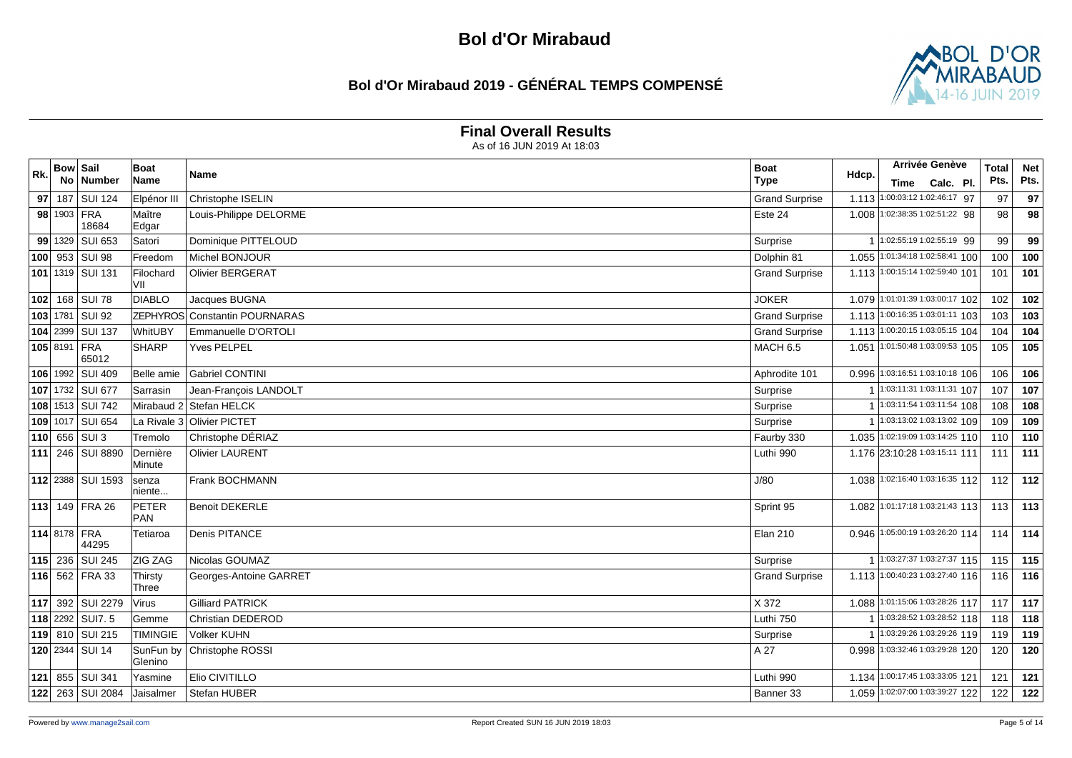### **Bol d'Or Mirabaud 2019 - GÉNÉRAL TEMPS COMPENSÉ**



#### **Final Overall Results**

| Rk. | <b>Bow Sail</b> |                         | Boat                 | Name                        | <b>Boat</b>           | Hdcp. |      | Arrivée Genève                  | <b>Total</b> | <b>Net</b> |
|-----|-----------------|-------------------------|----------------------|-----------------------------|-----------------------|-------|------|---------------------------------|--------------|------------|
|     |                 | No Number               | Name                 |                             | <b>Type</b>           |       | Time | Calc. Pl.                       | Pts.         | Pts.       |
|     |                 | 97 187 SUI 124          | Elpénor III          | Christophe ISELIN           | <b>Grand Surprise</b> |       |      | 1.113 1:00:03:12 1:02:46:17 97  | 97           | 97         |
|     | 98 1903 FRA     | 18684                   | Maître<br>Edgar      | Louis-Philippe DELORME      | Este 24               |       |      | 1.008 1:02:38:35 1:02:51:22 98  | 98           | 98         |
|     |                 | 99 1329 SUI 653         | Satori               | Dominique PITTELOUD         | Surprise              |       |      | 1 1:02:55:19 1:02:55:19 99      | 99           | 99         |
|     |                 | $100$ 953 SUI 98        | Freedom              | Michel BONJOUR              | Dolphin 81            |       |      | 1.055 1:01:34:18 1:02:58:41 100 | 100          | 100        |
|     |                 | 101 1319 SUI 131        | Filochard<br>VII     | <b>Olivier BERGERAT</b>     | <b>Grand Surprise</b> |       |      | 1.113 1:00:15:14 1:02:59:40 101 | 101          | 101        |
|     |                 | 102 168 SUI 78          | <b>DIABLO</b>        | Jacques BUGNA               | <b>JOKER</b>          | 1.079 |      | 1:01:01:39 1:03:00:17 102       | 102          | 102        |
|     | 103 1781        | <b>SUI 92</b>           | <b>ZEPHYROS</b>      | <b>Constantin POURNARAS</b> | <b>Grand Surprise</b> |       |      | 1.113 1:00:16:35 1:03:01:11 103 | 103          | 103        |
|     |                 | 104 2399 SUI 137        | WhitUBY              | Emmanuelle D'ORTOLI         | <b>Grand Surprise</b> |       |      | 1.113 1:00:20:15 1:03:05:15 104 | 104          | 104        |
|     | 105 8191 FRA    | 65012                   | <b>SHARP</b>         | <b>Yves PELPEL</b>          | <b>MACH 6.5</b>       | 1.051 |      | 1:01:50:48 1:03:09:53 105       | 105          | 105        |
|     |                 | 106 1992 SUI 409        | Belle amie           | <b>Gabriel CONTINI</b>      | Aphrodite 101         |       |      | 0.996 1:03:16:51 1:03:10:18 106 | 106          | 106        |
|     |                 | 107 1732 SUI 677        | Sarrasin             | Jean-François LANDOLT       | Surprise              |       |      | 1:03:11:31 1:03:11:31 107       | 107          | 107        |
|     |                 | 108 1513 SUI 742        |                      | Mirabaud 2 Stefan HELCK     | Surprise              |       |      | 1 1:03:11:54 1:03:11:54 108     | 108          | 108        |
|     |                 | 109 1017 SUI 654        |                      | La Rivale 3 Olivier PICTET  | Surprise              |       |      | 1:03:13:02 1:03:13:02 109       | 109          | 109        |
|     |                 | $110$ 656 SUI 3         | Tremolo              | Christophe DÉRIAZ           | Faurby 330            |       |      | 1.035 1:02:19:09 1:03:14:25 110 | 110          | 110        |
|     |                 | 111 246 SUI 8890        | Dernière<br>Minute   | <b>Olivier LAURENT</b>      | Luthi 990             |       |      | 1.176 23:10:28 1:03:15:11 111   | 111          | 111        |
|     |                 | 112 2388 SUI 1593       | senza<br>niente      | Frank BOCHMANN              | J/80                  |       |      | 1.038 1:02:16:40 1:03:16:35 112 | 112          | 112        |
|     |                 | 113 149 FRA 26          | PETER<br>PAN         | <b>Benoit DEKERLE</b>       | Sprint 95             |       |      | 1.082 1:01:17:18 1:03:21:43 113 | 113          | 113        |
|     | 114 8178 FRA    | 44295                   | Tetiaroa             | Denis PITANCE               | <b>Elan 210</b>       | 0.946 |      | 1:05:00:19 1:03:26:20 114       | 114          | 114        |
|     |                 | 115 236 SUI 245         | ZIG ZAG              | Nicolas GOUMAZ              | Surprise              |       |      | 1 1:03:27:37 1:03:27:37 115     | 115          | 115        |
|     |                 | 116 562 FRA 33          | Thirsty<br>Three     | Georges-Antoine GARRET      | <b>Grand Surprise</b> |       |      | 1.113 1:00:40:23 1:03:27:40 116 | 116          | 116        |
|     |                 | 117 392 SUI 2279        | Virus                | <b>Gilliard PATRICK</b>     | X 372                 |       |      | 1.088 1:01:15:06 1:03:28:26 117 | 117          | 117        |
|     |                 | 118 2292 SUIT. 5        | Gemme                | <b>Christian DEDEROD</b>    | Luthi 750             |       |      | $1:03:28:52$ 1:03:28:52 118     | 118          | 118        |
|     |                 | 119 810 SUI 215         | <b>TIMINGIE</b>      | <b>Volker KUHN</b>          | Surprise              |       |      | 1:03:29:26 1:03:29:26 119       | 119          | 119        |
|     |                 | 120 2344 SUI 14         | SunFun by<br>Glenino | Christophe ROSSI            | A 27                  | 0.998 |      | 1:03:32:46 1:03:29:28 120       | 120          | 120        |
|     |                 | 121 855 SUI 341         | Yasmine              | Elio CIVITILLO              | Luthi 990             |       |      | 1.134 1:00:17:45 1:03:33:05 121 | 121          | 121        |
|     |                 | <b>122</b> 263 SUI 2084 | Jaisalmer            | Stefan HUBER                | Banner 33             |       |      | 1.059 1:02:07:00 1:03:39:27 122 | 122          | 122        |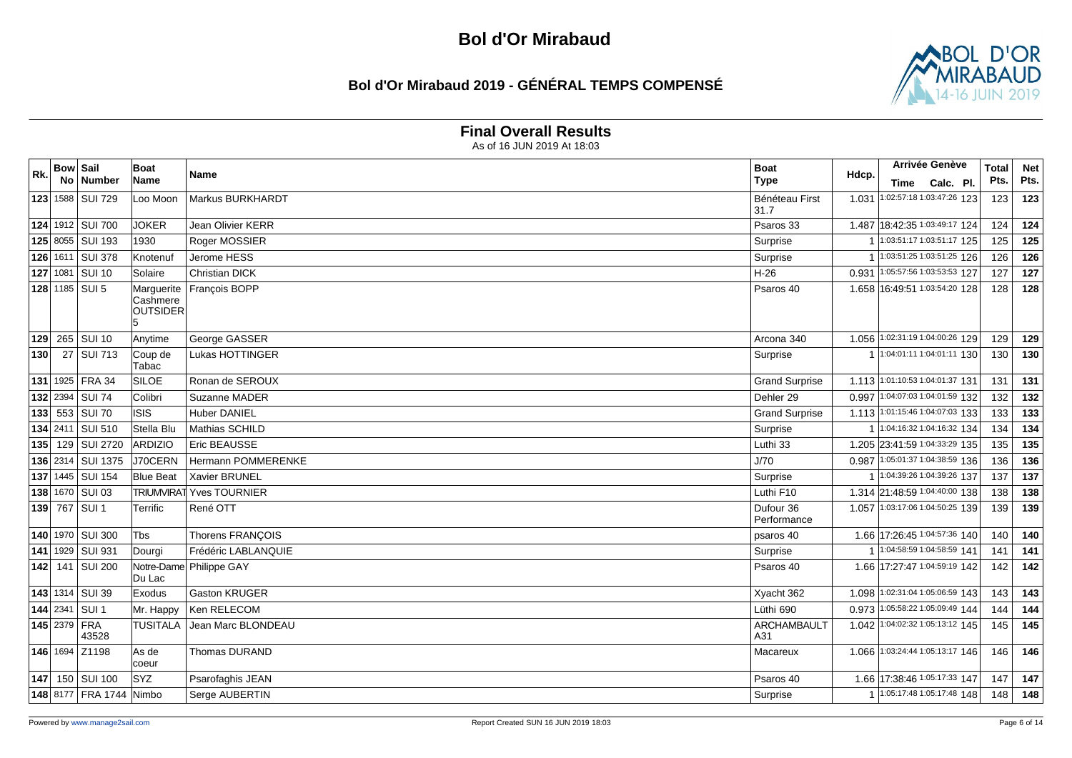### **Bol d'Or Mirabaud 2019 - GÉNÉRAL TEMPS COMPENSÉ**



#### **Final Overall Results**

| Rk. | <b>Bow Sail</b> |                              | Boat                                      | Name                    | <b>Boat</b>               | Hdcp. | Arrivée Genève                  | <b>Total</b> | <b>Net</b> |
|-----|-----------------|------------------------------|-------------------------------------------|-------------------------|---------------------------|-------|---------------------------------|--------------|------------|
|     |                 | No   Number                  | Name                                      |                         | <b>Type</b>               |       | Time Calc. Pl.                  | Pts.         | Pts.       |
|     |                 | 123 1588 SUI 729             | Loo Moon                                  | Markus BURKHARDT        | Bénéteau First<br>31.7    | 1.031 | 1:02:57:18 1:03:47:26 123       | 123          | 123        |
|     |                 | 124 1912 SUI 700             | <b>JOKER</b>                              | Jean Olivier KERR       | Psaros 33                 |       | 1.487 18:42:35 1:03:49:17 124   | 124          | 124        |
|     |                 | 125 8055 SUI 193             | 1930                                      | Roger MOSSIER           | Surprise                  |       | 1:03:51:17 1:03:51:17 125       | 125          | 125        |
|     |                 | 126 1611 SUI 378             | <b>Knotenuf</b>                           | Jerome HESS             | Surprise                  | -1    | 1:03:51:25 1:03:51:25 126       | 126          | 126        |
|     | $127$ 1081      | <b>SUI 10</b>                | Solaire                                   | <b>Christian DICK</b>   | $H-26$                    | 0.931 | 1:05:57:56 1:03:53:53 127       | 127          | 127        |
|     |                 | 128 1185 SUI 5               | Marguerite<br>Cashmere<br><b>OUTSIDER</b> | François BOPP           | Psaros 40                 |       | 1.658 16:49:51 1:03:54:20 128   | 128          | 128        |
|     |                 | 129 265 SUI 10               | Anytime                                   | George GASSER           | Arcona 340                |       | 1.056 1:02:31:19 1:04:00:26 129 | 129          | 129        |
| 130 |                 | 27 SUI 713                   | Coup de<br>Tabac                          | Lukas HOTTINGER         | Surprise                  |       | 1 1:04:01:11 1:04:01:11 130     | 130          | 130        |
|     |                 | 131 1925 FRA 34              | <b>SILOE</b>                              | Ronan de SEROUX         | <b>Grand Surprise</b>     |       | 1.113 1:01:10:53 1:04:01:37 131 | 131          | 131        |
|     | 132 2394        | SUI <sub>74</sub>            | Colibri                                   | Suzanne MADER           | Dehler 29                 | 0.997 | 1:04:07:03 1:04:01:59 132       | 132          | 132        |
|     |                 | <b>133</b> 553 SUI 70        | lisis                                     | <b>Huber DANIEL</b>     | <b>Grand Surprise</b>     |       | 1.113 1:01:15:46 1:04:07:03 133 | 133          | 133        |
|     |                 | 134 2411 SUI 510             | Stella Blu                                | Mathias SCHILD          | Surprise                  |       | 1:04:16:32 1:04:16:32 134       | 134          | 134        |
| 135 |                 | 129 SUI 2720                 | ARDIZIO                                   | Eric BEAUSSE            | Luthi 33                  |       | 1.205 23:41:59 1:04:33:29 135   | 135          | 135        |
|     |                 | 136 2314 SUI 1375            | J70CERN                                   | Hermann POMMERENKE      | J/70                      | 0.987 | 1:05:01:37 1:04:38:59 136       | 136          | 136        |
|     |                 | 137 1445   SUI 154           | <b>Blue Beat</b>                          | <b>Xavier BRUNEL</b>    | Surprise                  |       | 1:04:39:26 1:04:39:26 137       | 137          | 137        |
|     |                 | 138 1670 SUI 03              | <b>TRIUMVIRAT</b>                         | <b>Yves TOURNIER</b>    | Luthi F10                 |       | 1.314 21:48:59 1:04:40:00 138   | 138          | 138        |
|     |                 | 139 767 SUI 1                | Terrific                                  | René OTT                | Dufour 36<br>Performance  |       | 1.057 1:03:17:06 1:04:50:25 139 | 139          | 139        |
|     |                 | 140 1970 SUI 300             | <b>T</b> bs                               | <b>Thorens FRANCOIS</b> | psaros 40                 |       | 1.66 17:26:45 1:04:57:36 140    | 140          | 140        |
|     |                 | 141 1929 SUI 931             | Dourgi                                    | Frédéric LABLANQUIE     | Surprise                  |       | 1:04:58:59 1:04:58:59 141       | 141          | 141        |
|     |                 | 142 141 SUI 200              | lDu Lac                                   | Notre-Dame Philippe GAY | Psaros 40                 |       | 1.66 17:27:47 1:04:59:19 142    | 142          | 142        |
|     |                 | 143 1314 SUI 39              | Exodus                                    | <b>Gaston KRUGER</b>    | Xyacht 362                | 1.098 | 1:02:31:04 1:05:06:59 143       | 143          | 143        |
|     |                 | 144 2341 SUI 1               | Mr. Happy                                 | Ken RELECOM             | Lüthi 690                 | 0.973 | 1:05:58:22 1:05:09:49 144       | 144          | 144        |
|     |                 | <b>145</b> 2379 FRA<br>43528 | <b>TUSITALA</b>                           | Jean Marc BLONDEAU      | <b>ARCHAMBAULT</b><br>A31 |       | 1.042 1:04:02:32 1:05:13:12 145 | 145          | 145        |
|     |                 | 146 1694 Z1198               | As de<br>coeur                            | <b>Thomas DURAND</b>    | Macareux                  | 1.066 | 1:03:24:44 1:05:13:17 146       | 146          | 146        |
|     |                 | 147 150 SUI 100              | <b>SYZ</b>                                | Psarofaghis JEAN        | Psaros 40                 |       | 1.66 17:38:46 1:05:17:33 147    | 147          | 147        |
|     |                 | 148 8177 FRA 1744 Nimbo      |                                           | Serge AUBERTIN          | Surprise                  |       | 1:05:17:48 1:05:17:48 148       | 148          | 148        |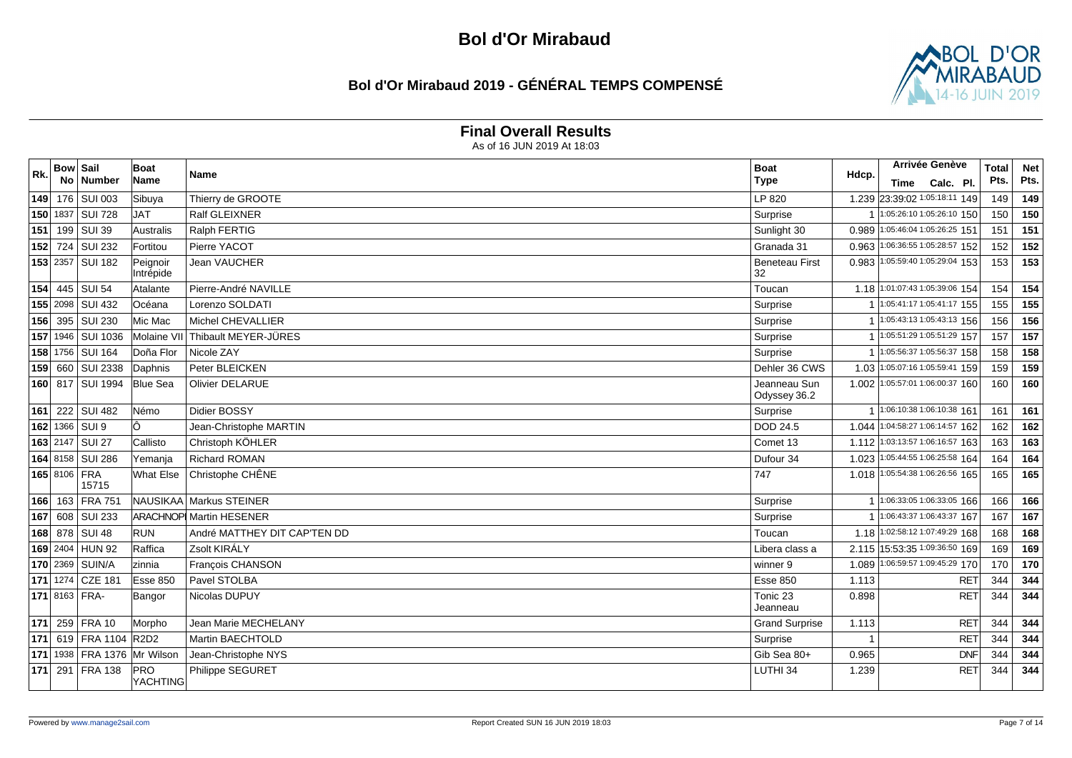### **Bol d'Or Mirabaud 2019 - GÉNÉRAL TEMPS COMPENSÉ**



#### **Final Overall Results**

| Rk. | <b>Bow Sail</b> | No Number                   | <b>Boat</b><br><b>Name</b> | Name                           | <b>Boat</b><br><b>Type</b>   | Hdcp.        |      | Arrivée Genève                  | <b>Total</b><br>Pts. | <b>Net</b><br>Pts. |
|-----|-----------------|-----------------------------|----------------------------|--------------------------------|------------------------------|--------------|------|---------------------------------|----------------------|--------------------|
|     |                 |                             |                            |                                |                              |              | Time | Calc. Pl.                       |                      |                    |
|     |                 | 149 176 SUI 003             | Sibuya                     | Thierry de GROOTE              | LP 820                       |              |      | 1.239 23:39:02 1:05:18:11 149   | 149                  | 149                |
|     |                 | 150 1837 SUI 728            | <b>TAL</b>                 | Ralf GLEIXNER                  | Surprise                     |              |      | 1:05:26:10 1:05:26:10 150       | 150                  | 150                |
| 151 |                 | 199 SUI 39                  | Australis                  | Ralph FERTIG                   | Sunlight 30                  | 0.989        |      | 1:05:46:04 1:05:26:25 151       | 151                  | 151                |
|     |                 | 152 724 SUI 232             | Fortitou                   | Pierre YACOT                   | Granada 31                   | 0.963        |      | 1:06:36:55 1:05:28:57 152       | 152                  | 152                |
|     |                 | 153 2357 SUI 182            | Peignoir<br>Intrépide      | <b>Jean VAUCHER</b>            | <b>Beneteau First</b><br>32  |              |      | 0.983 1:05:59:40 1:05:29:04 153 | 153                  | 153                |
|     |                 | 154 445 SUI 54              | Atalante                   | Pierre-André NAVILLE           | Toucan                       |              |      | 1.18 1:01:07:43 1:05:39:06 154  | 154                  | 154                |
|     |                 | 155 2098 SUI 432            | Océana                     | Lorenzo SOLDATI                | Surprise                     |              |      | 1:05:41:171:05:41:17155         | 155                  | 155                |
|     |                 | 156 395 SUI 230             | Mic Mac                    | Michel CHEVALLIER              | Surprise                     |              |      | $1:05:43:131:05:43:13$ 156      | 156                  | 156                |
|     |                 | 157 1946 SUI 1036           | Molaine VII                | Thibault MEYER-JÜRES           | Surprise                     |              |      | 1 1:05:51:29 1:05:51:29 157     | 157                  | 157                |
|     |                 | 158 1756 SUI 164            | Doña Flor                  | Nicole ZAY                     | Surprise                     |              |      | 1:05:56:37 1:05:56:37 158       | 158                  | 158                |
|     |                 | 159 660 SUI 2338            | Daphnis                    | Peter BLEICKEN                 | Dehler 36 CWS                |              |      | 1.03 1:05:07:16 1:05:59:41 159  | 159                  | 159                |
|     |                 | 160 817 SUI 1994            | <b>Blue Sea</b>            | <b>Olivier DELARUE</b>         | Jeanneau Sun<br>Odyssey 36.2 |              |      | 1.002 1:05:57:01 1:06:00:37 160 | 160                  | 160                |
|     |                 | 161 222 SUI 482             | Némo                       | Didier BOSSY                   | Surprise                     | $\mathbf{1}$ |      | 1:06:10:38 1:06:10:38 161       | 161                  | 161                |
|     |                 | 162 1366 SUI 9              |                            | Jean-Christophe MARTIN         | DOD 24.5                     |              |      | 1.044 1:04:58:27 1:06:14:57 162 | 162                  | 162                |
|     |                 | 163 2147 SUI 27             | Callisto                   | Christoph KÖHLER               | Comet 13                     |              |      | 1.112 1:03:13:57 1:06:16:57 163 | 163                  | 163                |
|     |                 | 164 8158 SUI 286            | Yemanja                    | <b>Richard ROMAN</b>           | Dufour 34                    | 1.023        |      | 1:05:44:55 1:06:25:58 164       | 164                  | 164                |
|     |                 | 165 8106 FRA<br>15715       | What Else                  | Christophe CHÊNE               | 747                          |              |      | 1.018 1:05:54:38 1:06:26:56 165 | 165                  | 165                |
|     |                 | 166 163 FRA 751             |                            | NAUSIKAA Markus STEINER        | Surprise                     |              |      | 1:06:33:05 1:06:33:05 166       | 166                  | 166                |
|     |                 | 167 608 SUI 233             |                            | <b>ARACHNOP Martin HESENER</b> | Surprise                     |              |      | 1:06:43:37 1:06:43:37 167       | 167                  | 167                |
|     |                 | 168 878 SUI 48              | <b>RUN</b>                 | André MATTHEY DIT CAP'TEN DD   | Toucan                       | 1.18         |      | 1:02:58:12 1:07:49:29 168       | 168                  | 168                |
|     |                 | 169 2404 HUN 92             | Raffica                    | Zsolt KIRÁLY                   | Libera class a               |              |      | 2.115 15:53:35 1:09:36:50 169   | 169                  | 169                |
|     |                 | 170 2369 SUIN/A             | Izinnia                    | François CHANSON               | winner 9                     | 1.089        |      | 1:06:59:57 1:09:45:29 170       | 170                  | 170                |
|     |                 | 171 1274 CZE 181            | Esse 850                   | Pavel STOLBA                   | <b>Esse 850</b>              | 1.113        |      | <b>RET</b>                      | 344                  | 344                |
|     |                 | 171 8163 FRA-               | Bangor                     | Nicolas DUPUY                  | Tonic 23<br>Jeanneau         | 0.898        |      | <b>RET</b>                      | 344                  | 344                |
| 171 |                 | 259 FRA 10                  | Morpho                     | Jean Marie MECHELANY           | <b>Grand Surprise</b>        | 1.113        |      | <b>RET</b>                      | 344                  | 344                |
|     |                 | 171 619 FRA 1104 R2D2       |                            | Martin BAECHTOLD               | Surprise                     |              |      | <b>RET</b>                      | 344                  | 344                |
| 171 |                 | 1938   FRA 1376   Mr Wilson |                            | Jean-Christophe NYS            | Gib Sea 80+                  | 0.965        |      | <b>DNF</b>                      | 344                  | 344                |
|     |                 | 171 291 FRA 138             | PRO<br>YACHTING            | Philippe SEGURET               | LUTHI 34                     | 1.239        |      | <b>RET</b>                      | 344                  | 344                |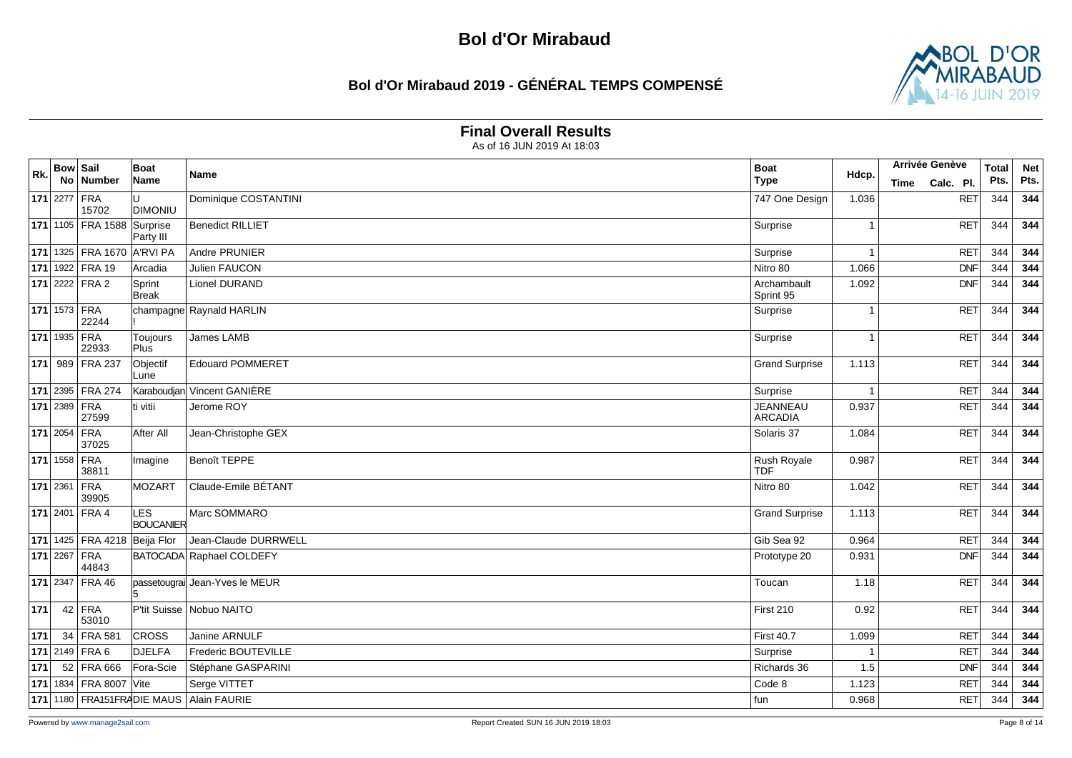### **Bol d'Or Mirabaud 2019 - GÉNÉRAL TEMPS COMPENSÉ**



### **Final Overall Results**

| Rk. | <b>Bow Sail</b>     |                                 | Boat                    | Name                                    | <b>Boat</b>                       | Hdcp.          |      | <b>Arrivée Genève</b> | <b>Total</b> | <b>Net</b> |
|-----|---------------------|---------------------------------|-------------------------|-----------------------------------------|-----------------------------------|----------------|------|-----------------------|--------------|------------|
|     |                     | No Number                       | Name                    |                                         | <b>Type</b>                       |                | Time | Calc. Pl.             | Pts.         | Pts.       |
|     | $171$ 2277 FRA      | 15702                           | <b>DIMONIU</b>          | Dominique COSTANTINI                    | 747 One Design                    | 1.036          |      | <b>RET</b>            | 344          | 344        |
|     |                     | 171 1105 FRA 1588               | Surprise<br>Party III   | <b>Benedict RILLIET</b>                 | Surprise                          | -1             |      | RET                   | 344          | 344        |
|     |                     | 171 1325 FRA 1670 A'RVI PA      |                         | Andre PRUNIER                           | Surprise                          | $\overline{1}$ |      | <b>RET</b>            | 344          | 344        |
|     |                     | 171 1922 FRA 19                 | Arcadia                 | Julien FAUCON                           | Nitro 80                          | 1.066          |      | DNF                   | 344          | 344        |
|     |                     | $171$ 2222 FRA 2                | Sprint<br>Break         | Lionel DURAND                           | Archambault<br>Sprint 95          | 1.092          |      | DNF                   | 344          | 344        |
|     |                     | 171 1573 FRA<br>22244           |                         | champagne Raynald HARLIN                | Surprise                          | -1             |      | RET                   | 344          | 344        |
|     |                     | <b>171</b> 1935 FRA<br>22933    | Toujours<br><b>Plus</b> | James LAMB                              | Surprise                          | -1             |      | RET                   | 344          | 344        |
|     |                     | 171 989 FRA 237                 | Objectif<br>Lune        | <b>Edouard POMMERET</b>                 | <b>Grand Surprise</b>             | 1.113          |      | RET                   | 344          | 344        |
|     |                     | 171 2395 FRA 274                |                         | Karaboudjan Vincent GANIÈRE             | Surprise                          | -1             |      | <b>RET</b>            | 344          | 344        |
|     |                     | $171$ 2389 FRA<br>27599         | lti vitii               | Jerome ROY                              | <b>JEANNEAU</b><br><b>ARCADIA</b> | 0.937          |      | <b>RET</b>            | 344          | 344        |
|     | <b>171</b> 2054 FRA | 37025                           | After All               | Jean-Christophe GEX                     | Solaris 37                        | 1.084          |      | RET                   | 344          | 344        |
|     | 171 1558 FRA        | 38811                           | Imagine                 | Benoît TEPPE                            | <b>Rush Royale</b><br><b>TDF</b>  | 0.987          |      | RET                   | 344          | 344        |
|     |                     | 171 2361 FRA<br>39905           | MOZART                  | Claude-Emile BÉTANT                     | Nitro 80                          | 1.042          |      | RET                   | 344          | 344        |
|     |                     | 171 2401 FRA 4                  | LES<br>BOUCANIER        | Marc SOMMARO                            | <b>Grand Surprise</b>             | 1.113          |      | RET                   | 344          | 344        |
|     |                     | 171 1425   FRA 4218 Beija Flor  |                         | Jean-Claude DURRWELL                    | Gib Sea 92                        | 0.964          |      | <b>RET</b>            | 344          | 344        |
|     | 171 2267            | FRA<br>44843                    |                         | BATOCADA Raphael COLDEFY                | Prototype 20                      | 0.931          |      | DNF                   | 344          | 344        |
|     |                     | 171 2347 FRA 46                 |                         | passetougrai Jean-Yves le MEUR          | Toucan                            | 1.18           |      | RET                   | 344          | 344        |
| 171 |                     | $42$ FRA<br>53010               |                         | P'tit Suisse   Nobuo NAITO              | First 210                         | 0.92           |      | RET                   | 344          | 344        |
| 171 |                     | 34 FRA 581                      | <b>CROSS</b>            | Janine ARNULF                           | <b>First 40.7</b>                 | 1.099          |      | RET                   | 344          | 344        |
|     |                     | <b>171</b> 2149 FRA 6           | <b>DJELFA</b>           | Frederic BOUTEVILLE                     | Surprise                          | $\overline{1}$ |      | <b>RET</b>            | 344          | 344        |
| 171 |                     | 52 FRA 666                      | Fora-Scie               | Stéphane GASPARINI                      | Richards 36                       | 1.5            |      | <b>DNF</b>            | 344          | 344        |
|     |                     | <b>171</b> 1834   FRA 8007 Vite |                         | Serge VITTET                            | Code 8                            | 1.123          |      | <b>RET</b>            | 344          | 344        |
|     |                     |                                 |                         | 171 1180 FRA151FRADIE MAUS Alain FAURIE | fun                               | 0.968          |      | <b>RET</b>            | 344          | 344        |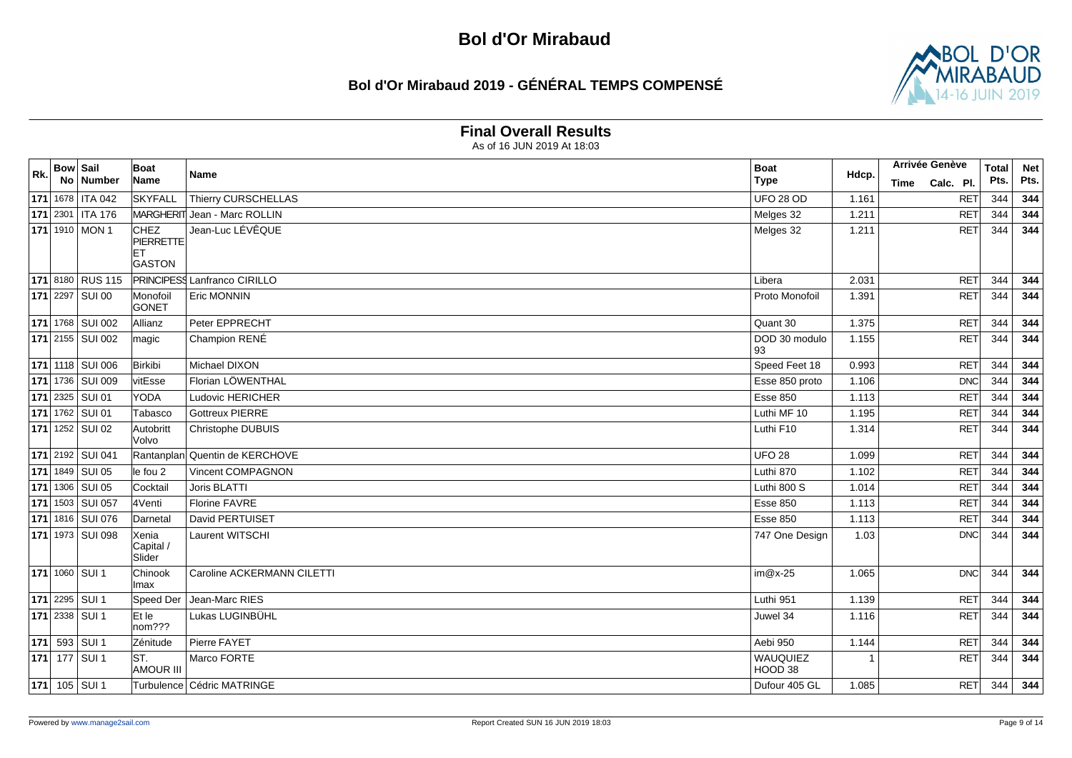### **Bol d'Or Mirabaud 2019 - GÉNÉRAL TEMPS COMPENSÉ**



#### **Final Overall Results**

|     | <b>Bow Sail</b> |                            | Boat                            |                                     | <b>Boat</b>         |       | <b>Arrivée Genève</b> |            | <b>Total</b> | <b>Net</b> |
|-----|-----------------|----------------------------|---------------------------------|-------------------------------------|---------------------|-------|-----------------------|------------|--------------|------------|
| Rk. |                 | No Number                  | Name                            | Name                                | <b>Type</b>         | Hdcp. | Time                  | Calc. Pl.  | Pts.         | Pts.       |
|     |                 | 171 1678 ITA 042           | <b>SKYFALL</b>                  | Thierry CURSCHELLAS                 | <b>UFO 28 OD</b>    | 1.161 |                       | RET        | 344          | 344        |
|     |                 | 171 2301   ITA 176         |                                 | MARGHERIT Jean - Marc ROLLIN        | Melges 32           | 1.211 |                       | <b>RET</b> | 344          | 344        |
|     |                 | 171 1910 MON 1             | <b>CHEZ</b><br><b>PIERRETTE</b> | Jean-Luc LÉVÊQUE                    | Melges 32           | 1.211 |                       | RET        | 344          | 344        |
|     |                 |                            | <b>ET</b><br><b>GASTON</b>      |                                     |                     |       |                       |            |              |            |
|     |                 | 171 8180 RUS 115           |                                 | <b>PRINCIPESS Lanfranco CIRILLO</b> | Libera              | 2.031 |                       | <b>RET</b> | 344          | 344        |
|     |                 | 171 2297 SUI 00            | Monofoil<br>GONET               | Eric MONNIN                         | Proto Monofoil      | 1.391 |                       | RET        | 344          | 344        |
|     |                 | <b>171</b> 1768 SUI 002    | Allianz                         | Peter EPPRECHT                      | Quant 30            | 1.375 |                       | <b>RET</b> | 344          | 344        |
|     |                 | $\boxed{171}$ 2155 SUI 002 | magic                           | Champion RENÉ                       | DOD 30 modulo<br>93 | 1.155 |                       | RET        | 344          | 344        |
|     |                 | 171 1118 SUI 006           | Birkibi                         | Michael DIXON                       | Speed Feet 18       | 0.993 |                       | <b>RET</b> | 344          | 344        |
|     |                 | 171 1736 SUI 009           | vitEsse                         | Florian LÖWENTHAL                   | Esse 850 proto      | 1.106 |                       | DNC        | 344          | 344        |
|     |                 | 171 2325 SUI 01            | YODA                            | Ludovic HERICHER                    | <b>Esse 850</b>     | 1.113 |                       | <b>RET</b> | 344          | 344        |
|     |                 | <b>171</b> 1762 SUI 01     | Tabasco                         | <b>Gottreux PIERRE</b>              | Luthi MF 10         | 1.195 |                       | <b>RET</b> | 344          | 344        |
|     |                 | $\sqrt{171}$ 1252 SUI 02   | Autobritt<br>lVolvo             | Christophe DUBUIS                   | Luthi F10           | 1.314 |                       | RET        | 344          | 344        |
|     |                 | 171 2192 SUI 041           |                                 | Rantanplan Quentin de KERCHOVE      | <b>UFO 28</b>       | 1.099 |                       | <b>RET</b> | 344          | 344        |
|     |                 | 171 1849 SUI 05            | le fou 2                        | Vincent COMPAGNON                   | Luthi 870           | 1.102 |                       | <b>RET</b> | 344          | 344        |
|     |                 | 171 1306 SUI 05            | Cocktail                        | Joris BLATTI                        | Luthi 800 S         | 1.014 |                       | <b>RET</b> | 344          | 344        |
|     |                 | 171 1503 SUI 057           | 4Venti                          | <b>Florine FAVRE</b>                | <b>Esse 850</b>     | 1.113 |                       | <b>RET</b> | 344          | 344        |
|     |                 | 171 1816   SUI 076         | Darnetal                        | David PERTUISET                     | <b>Esse 850</b>     | 1.113 |                       | <b>RET</b> | 344          | 344        |
|     |                 | 171 1973 SUI 098           | Xenia<br>Capital /<br>Slider    | Laurent WITSCHI                     | 747 One Design      | 1.03  |                       | DNC        | 344          | 344        |
|     |                 | <b>171</b> 1060 SUI 1      | Chinook<br>lmax                 | Caroline ACKERMANN CILETTI          | $im@x-25$           | 1.065 |                       | DNC        | 344          | 344        |
|     |                 | 171 2295 SUI 1             | Speed Der                       | Jean-Marc RIES                      | Luthi 951           | 1.139 |                       | <b>RET</b> | 344          | 344        |
|     |                 | $\sqrt{171}$ 2338 SUI 1    | Et le<br>$nom?$ ?               | Lukas LUGINBÜHL                     | Juwel 34            | 1.116 |                       | RET        | 344          | 344        |
|     |                 | <b>171</b> 593 SUI 1       | Zénitude                        | Pierre FAYET                        | Aebi 950            | 1.144 |                       | <b>RET</b> | 344          | 344        |
|     |                 | <b>171</b> 177 SUI 1       | ST.<br><b>AMOUR III</b>         | Marco FORTE                         | WAUQUIEZ<br>HOOD 38 |       |                       | <b>RET</b> | 344          | 344        |
|     |                 | 171 105 SUI 1              |                                 | Turbulence Cédric MATRINGE          | Dufour 405 GL       | 1.085 |                       | RET        | 344          | 344        |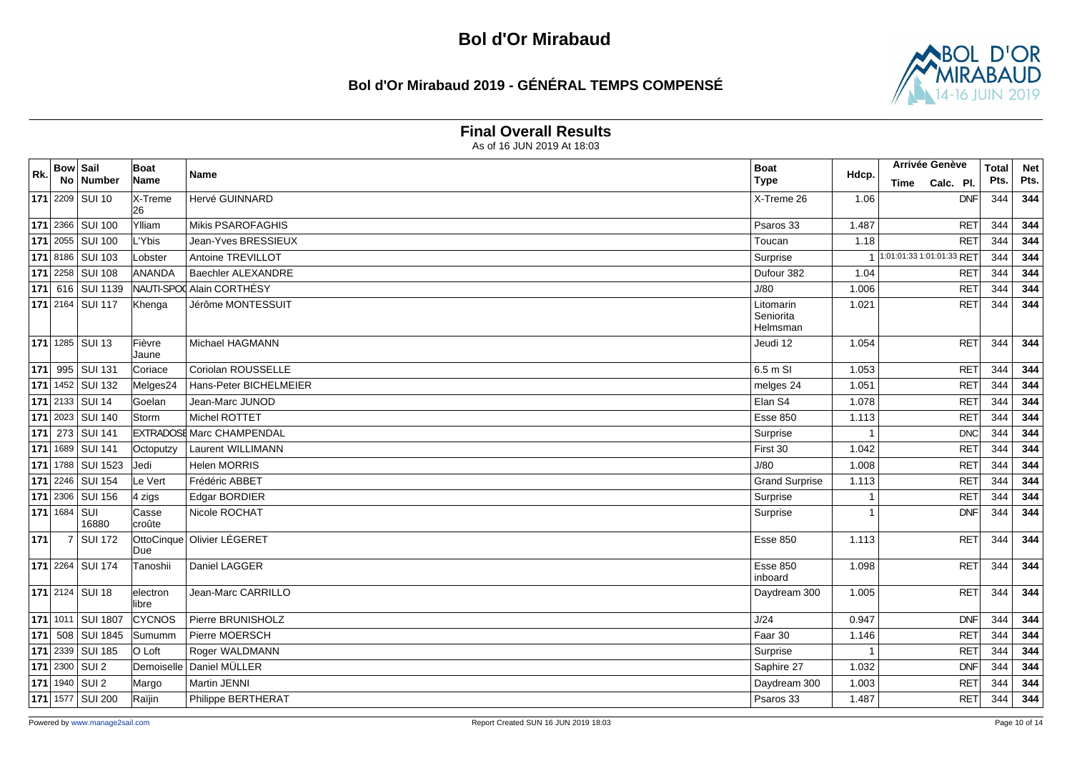### **Bol d'Or Mirabaud 2019 - GÉNÉRAL TEMPS COMPENSÉ**



#### **Final Overall Results**

| Rk. | <b>Bow Sail</b> |                           | Boat                 | Name                             | <b>Boat</b>                | Hdcp. | Arrivée Genève            | <b>Total</b> | <b>Net</b> |
|-----|-----------------|---------------------------|----------------------|----------------------------------|----------------------------|-------|---------------------------|--------------|------------|
|     |                 | No Number                 | Name                 |                                  | <b>Type</b>                |       | Calc. Pl.<br>Time         | Pts.         | Pts.       |
|     |                 | 171 2209 SUI 10           | X-Treme<br>26        | Hervé GUINNARD                   | X-Treme 26                 | 1.06  | <b>DNF</b>                | 344          | 344        |
|     |                 | 171 2366 SUI 100          | Ylliam               | Mikis PSAROFAGHIS                | Psaros 33                  | 1.487 | <b>RET</b>                | 344          | 344        |
|     |                 | <b>171</b> 2055   SUI 100 | L'Ybis               | Jean-Yves BRESSIEUX              | Toucan                     | 1.18  | <b>RET</b>                | 344          | 344        |
|     |                 | 171 8186 SUI 103          | Lobster              | Antoine TREVILLOT                | Surprise                   |       | 1:01:01:33 1:01:01:33 RET | 344          | 344        |
|     |                 | 171 2258 SUI 108          | <b>ANANDA</b>        | <b>Baechler ALEXANDRE</b>        | Dufour 382                 | 1.04  | <b>RET</b>                | 344          | 344        |
|     |                 | 171 616 SUI 1139          |                      | NAUTI-SPO Alain CORTHÉSY         | J/80                       | 1.006 | <b>RET</b>                | 344          | 344        |
|     |                 | 171 2164 SUI 117          | Khenga               | Jérôme MONTESSUIT                | Litomarin<br>Seniorita     | 1.021 | RET                       | 344          | 344        |
|     |                 |                           |                      |                                  | Helmsman                   |       |                           |              |            |
|     |                 | $\sqrt{171}$ 1285 SUI 13  | Fièvre<br>Jaune      | Michael HAGMANN                  | Jeudi 12                   | 1.054 | RET                       | 344          | 344        |
|     |                 | 171 995 SUI 131           | Coriace              | Coriolan ROUSSELLE               | 6.5 m SI                   | 1.053 | <b>RET</b>                | 344          | 344        |
|     |                 | <b>171</b> 1452 SUI 132   | Melges24             | Hans-Peter BICHELMEIER           | melges 24                  | 1.051 | <b>RET</b>                | 344          | 344        |
|     |                 | 171 2133 SUI 14           | Goelan               | Jean-Marc JUNOD                  | Elan S4                    | 1.078 | RET                       | 344          | 344        |
|     |                 | 171 2023 SUI 140          | <b>Storm</b>         | Michel ROTTET                    | <b>Esse 850</b>            | 1.113 | <b>RET</b>                | 344          | 344        |
|     |                 | 171 273 SUI 141           |                      | <b>EXTRADOSE Marc CHAMPENDAL</b> | Surprise                   |       | DNC                       | 344          | 344        |
|     |                 | 171 1689 SUI 141          | Octoputzy            | <b>Laurent WILLIMANN</b>         | First 30                   | 1.042 | <b>RET</b>                | 344          | 344        |
|     |                 | 171 1788 SUI 1523         | lJedi                | <b>Helen MORRIS</b>              | J/80                       | 1.008 | <b>RET</b>                | 344          | 344        |
|     |                 | 171 2246 SUI 154          | Le Vert              | Frédéric ABBET                   | <b>Grand Surprise</b>      | 1.113 | <b>RET</b>                | 344          | 344        |
|     |                 | <b>171</b> 2306 SUI 156   | $4 \overline{z}$ igs | Edgar BORDIER                    | Surprise                   | -1    | <b>RET</b>                | 344          | 344        |
|     | 171 1684 SUI    | 16880                     | Casse<br>croûte      | Nicole ROCHAT                    | Surprise                   |       | DNF                       | 344          | 344        |
| 171 |                 | 7 SUI 172                 | Due                  | OttoCinque Olivier LÉGERET       | <b>Esse 850</b>            | 1.113 | <b>RET</b>                | 344          | 344        |
|     |                 | <b>171</b> 2264 SUI 174   | Tanoshii             | Daniel LAGGER                    | <b>Esse 850</b><br>inboard | 1.098 | <b>RET</b>                | 344          | 344        |
|     |                 | <b>171</b> 2124 SUI 18    | electron<br>llibre   | Jean-Marc CARRILLO               | Daydream 300               | 1.005 | RET                       | 344          | 344        |
|     |                 | 171 1011 SUI 1807         | <b>CYCNOS</b>        | Pierre BRUNISHOLZ                | J/24                       | 0.947 | DNF                       | 344          | 344        |
|     |                 | 171 508 SUI 1845          | Sumumm               | Pierre MOERSCH                   | Faar 30                    | 1.146 | <b>RET</b>                | 344          | 344        |
|     |                 | 171 2339 SUI 185          | O Loft               | Roger WALDMANN                   | Surprise                   | -1    | <b>RET</b>                | 344          | 344        |
|     |                 | $171$ 2300 SUI 2          | Demoiselle           | Daniel MÜLLER                    | Saphire 27                 | 1.032 | DNF                       | 344          | 344        |
|     |                 | 171 1940 SUI 2            | Margo                | <b>Martin JENNI</b>              | Daydream 300               | 1.003 | <b>RET</b>                | 344          | 344        |
|     |                 | 171 1577 SUI 200          | Raïjin               | Philippe BERTHERAT               | Psaros 33                  | 1.487 | <b>RET</b>                | 344          | 344        |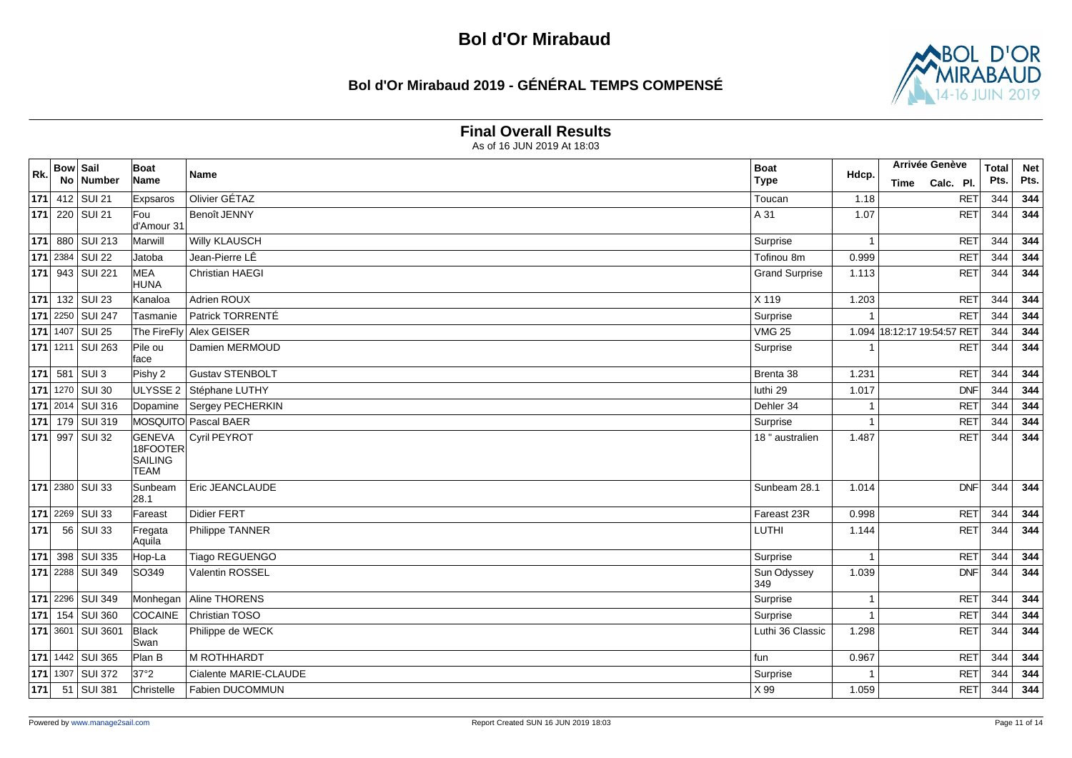### **Bol d'Or Mirabaud 2019 - GÉNÉRAL TEMPS COMPENSÉ**



#### **Final Overall Results**

| Rk. | <b>Bow Sail</b> |                           | Boat                                                | Name                   | <b>Boat</b>           | Hdcp. | Arrivée Genève        | <b>Total</b> | <b>Net</b> |
|-----|-----------------|---------------------------|-----------------------------------------------------|------------------------|-----------------------|-------|-----------------------|--------------|------------|
|     |                 | No Number                 | Name                                                |                        | <b>Type</b>           |       | Calc. Pl.<br>Time     | Pts.         | Pts.       |
|     |                 | 171 412 SUI 21            | Expsaros                                            | Olivier GÉTAZ          | Toucan                | 1.18  | RET                   | 344          | 344        |
|     |                 | <b>171</b> 220 SUI 21     | Fou<br>d'Amour 31                                   | Benoît JENNY           | A 31                  | 1.07  | <b>RET</b>            | 344          | 344        |
|     |                 | 171 880 SUI 213           | Marwill                                             | <b>Willy KLAUSCH</b>   | Surprise              | -1    | <b>RET</b>            | 344          | 344        |
|     |                 | 171 2384 SUI 22           | Jatoba                                              | Jean-Pierre LÊ         | Tofinou 8m            | 0.999 | <b>RET</b>            | 344          | 344        |
|     |                 | 171 943 SUI 221           | <b>MEA</b><br><b>HUNA</b>                           | <b>Christian HAEGI</b> | <b>Grand Surprise</b> | 1.113 | <b>RET</b>            | 344          | 344        |
|     |                 | <b>171</b> 132 SUI 23     | Kanaloa                                             | Adrien ROUX            | X 119                 | 1.203 | <b>RET</b>            | 344          | 344        |
|     |                 | 171 2250 SUI 247          | Tasmanie                                            | Patrick TORRENTÉ       | Surprise              |       | <b>RET</b>            | 344          | 344        |
|     |                 | 171 1407 SUI 25           | The FireFly                                         | Alex GEISER            | <b>VMG 25</b>         | 1.094 | 18:12:17 19:54:57 RET | 344          | 344        |
|     |                 | 171 1211 SUI 263          | Pile ou<br>face                                     | Damien MERMOUD         | Surprise              |       | RET                   | 344          | 344        |
|     |                 | $ 171 $ 581 SUI 3         | Pishy 2                                             | <b>Gustav STENBOLT</b> | Brenta 38             | 1.231 | <b>RET</b>            | 344          | 344        |
|     |                 | 171 1270 SUI 30           | ULYSSE <sub>2</sub>                                 | Stéphane LUTHY         | luthi 29              | 1.017 | <b>DNF</b>            | 344          | 344        |
|     |                 | 171 2014 SUI 316          | Dopamine                                            | Sergey PECHERKIN       | Dehler 34             |       | <b>RET</b>            | 344          | 344        |
|     |                 | 171 179 SUI 319           |                                                     | MOSQUITO Pascal BAER   | Surprise              | -1    | <b>RET</b>            | 344          | 344        |
|     |                 | 171 997 SUI 32            | <b>GENEVA</b><br>18FOOTER<br>SAILING<br><b>TEAM</b> | Cyril PEYROT           | 18 " australien       | 1.487 | <b>RET</b>            | 344          | 344        |
|     |                 | <b>171</b> 2380 SUI 33    | Sunbeam<br>28.1                                     | Eric JEANCLAUDE        | Sunbeam 28.1          | 1.014 | <b>DNF</b>            | 344          | 344        |
|     |                 | <b>171</b> 2269 SUI 33    | Fareast                                             | <b>Didier FERT</b>     | Fareast 23R           | 0.998 | RET                   | 344          | 344        |
| 171 |                 | 56 SUI 33                 | Fregata<br>Aquila                                   | Philippe TANNER        | <b>LUTHI</b>          | 1.144 | <b>RET</b>            | 344          | 344        |
|     |                 | 171 398 SUI 335           | Hop-La                                              | Tiago REGUENGO         | Surprise              |       | <b>RET</b>            | 344          | 344        |
|     |                 | <b>171</b> 2288   SUI 349 | SO349                                               | Valentin ROSSEL        | Sun Odyssey<br>349    | 1.039 | DNF                   | 344          | 344        |
|     |                 | <b>171</b> 2296 SUI 349   | Monhegan                                            | Aline THORENS          | Surprise              | -1    | <b>RET</b>            | 344          | 344        |
|     |                 | 171 154 SUI 360           | COCAINE                                             | Christian TOSO         | Surprise              |       | <b>RET</b>            | 344          | 344        |
|     |                 | 171 3601 SUI 3601         | Black<br>Swan                                       | Philippe de WECK       | Luthi 36 Classic      | 1.298 | <b>RET</b>            | 344          | 344        |
|     |                 | 171 1442 SUI 365          | Plan B                                              | M ROTHHARDT            | fun                   | 0.967 | <b>RET</b>            | 344          | 344        |
|     |                 | <b>171</b> 1307 SUI 372   | 37°2                                                | Cialente MARIE-CLAUDE  | Surprise              |       | <b>RET</b>            | 344          | 344        |
| 171 |                 | 51 SUI 381                | Christelle                                          | Fabien DUCOMMUN        | X 99                  | 1.059 | <b>RET</b>            | 344          | 344        |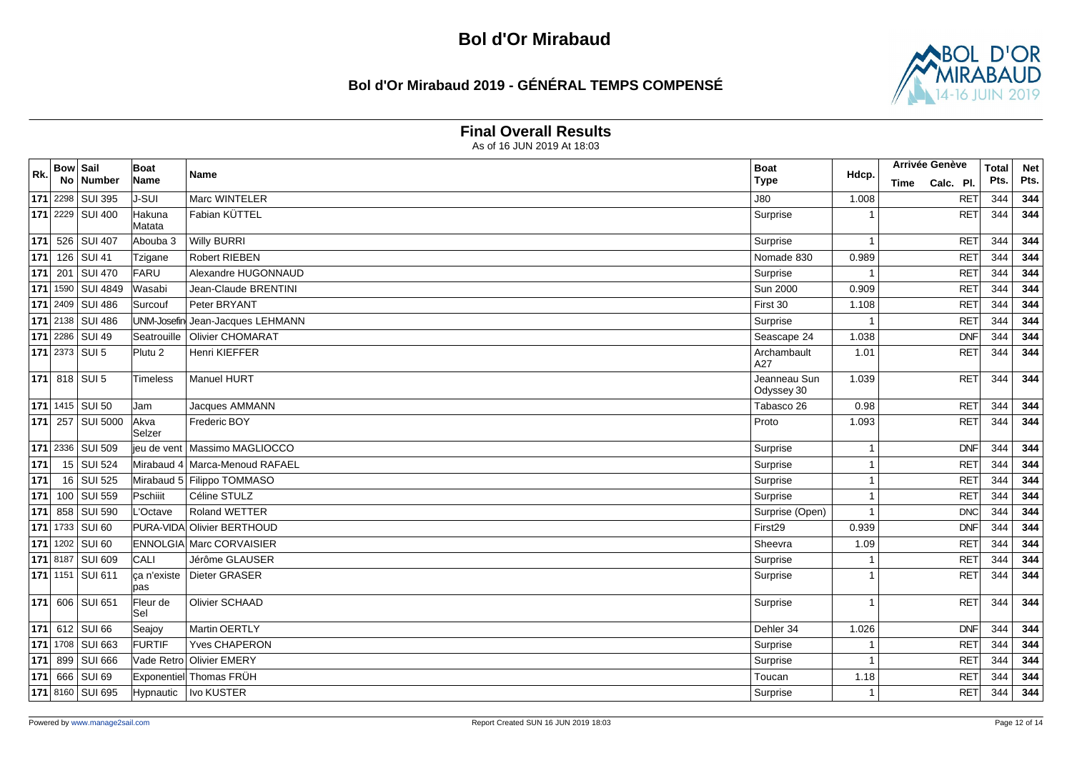### **Bol d'Or Mirabaud 2019 - GÉNÉRAL TEMPS COMPENSÉ**



#### **Final Overall Results**

| Rk. | <b>Bow Sail</b> |                           | Boat                | Name                            | <b>Boat</b>                | Hdcp.                   | Arrivée Genève    | <b>Total</b> | <b>Net</b> |
|-----|-----------------|---------------------------|---------------------|---------------------------------|----------------------------|-------------------------|-------------------|--------------|------------|
|     |                 | No Number                 | Name                |                                 | <b>Type</b>                |                         | Calc. Pl.<br>Time | Pts.         | Pts.       |
|     |                 | 171 2298 SUI 395          | <b>J-SUI</b>        | Marc WINTELER                   | <b>J80</b>                 | 1.008                   | <b>RET</b>        | 344          | 344        |
|     |                 | <b>171</b> 2229 SUI 400   | Hakuna<br>Matata    | Fabian KÜTTEL                   | Surprise                   |                         | <b>RET</b>        | 344          | 344        |
|     |                 | 171 526 SUI 407           | Abouba 3            | <b>Willy BURRI</b>              | Surprise                   | -1                      | <b>RET</b>        | 344          | 344        |
|     |                 | 171 126 SUI 41            | Tzigane             | <b>Robert RIEBEN</b>            | Nomade 830                 | 0.989                   | <b>RET</b>        | 344          | 344        |
|     | 171 201         | <b>SUI 470</b>            | FARU                | Alexandre HUGONNAUD             | Surprise                   |                         | <b>RET</b>        | 344          | 344        |
|     |                 | 171 1590 SUI 4849         | Wasabi              | Jean-Claude BRENTINI            | <b>Sun 2000</b>            | 0.909                   | <b>RET</b>        | 344          | 344        |
|     |                 | 171 2409 SUI 486          | Surcouf             | Peter BRYANT                    | First 30                   | 1.108                   | <b>RET</b>        | 344          | 344        |
|     |                 | <b>171</b> 2138   SUI 486 | UNM-Josefin         | Jean-Jacques LEHMANN            | Surprise                   | $\overline{1}$          | <b>RET</b>        | 344          | 344        |
|     |                 | 171 2286 SUI 49           | Seatrouille         | Olivier CHOMARAT                | Seascape 24                | 1.038                   | DNF               | 344          | 344        |
|     |                 | 171 2373 SUI 5            | Plutu <sub>2</sub>  | Henri KIEFFER                   | Archambault<br>A27         | 1.01                    | RET               | 344          | 344        |
|     |                 | 171 818 SUI 5             | Timeless            | Manuel HURT                     | Jeanneau Sun<br>Odyssey 30 | 1.039                   | RET               | 344          | 344        |
|     |                 | 171 1415 SUI 50           | Jam                 | Jacques AMMANN                  | Tabasco 26                 | 0.98                    | <b>RET</b>        | 344          | 344        |
|     |                 | 171 257 SUI 5000          | Akva<br>Selzer      | Frederic BOY                    | Proto                      | 1.093                   | RET               | 344          | 344        |
|     |                 | <b>171</b> 2336   SUI 509 | ieu de vent         | Massimo MAGLIOCCO               | Surprise                   | -1                      | <b>DNF</b>        | 344          | 344        |
| 171 |                 | 15 SUI 524                |                     | Mirabaud 4 Marca-Menoud RAFAEL  | Surprise                   |                         | <b>RET</b>        | 344          | 344        |
| 171 |                 | 16 SUI 525                |                     | Mirabaud 5 Filippo TOMMASO      | Surprise                   | -1                      | <b>RET</b>        | 344          | 344        |
|     |                 | <b>171</b> 100 SUI 559    | Pschiiit            | Céline STULZ                    | Surprise                   | -1                      | <b>RET</b>        | 344          | 344        |
|     |                 | 171 858 SUI 590           | L'Octave            | Roland WETTER                   | Surprise (Open)            | $\overline{\mathbf{1}}$ | DNC               | 344          | 344        |
|     |                 | 171 1733 SUI 60           | PURA-VIDA           | Olivier BERTHOUD                | First29                    | 0.939                   | DNF               | 344          | 344        |
|     |                 | <b>171</b> 1202 SUI 60    |                     | <b>ENNOLGIA Marc CORVAISIER</b> | Sheevra                    | 1.09                    | <b>RET</b>        | 344          | 344        |
|     |                 | 171 8187 SUI 609          | CALI                | Jérôme GLAUSER                  | Surprise                   | -1                      | <b>RET</b>        | 344          | 344        |
|     |                 | 171 1151 SUI 611          | ca n'existe<br>lpas | Dieter GRASER                   | Surprise                   |                         | <b>RET</b>        | 344          | 344        |
|     |                 | <b>171</b> 606 SUI 651    | Fleur de<br>lSel    | Olivier SCHAAD                  | Surprise                   | -1                      | RET               | 344          | 344        |
|     |                 | 171 612 SUI 66            | Seajoy              | Martin OERTLY                   | Dehler 34                  | 1.026                   | <b>DNF</b>        | 344          | 344        |
|     |                 | 171 1708 SUI 663          | <b>FURTIF</b>       | Yves CHAPERON                   | Surprise                   |                         | RET               | 344          | 344        |
|     |                 | 171 899 SUI 666           | Vade Retro          | <b>Olivier EMERY</b>            | Surprise                   | -1                      | <b>RET</b>        | 344          | 344        |
|     |                 | 171 666 SUI 69            | Exponentiel         | Thomas FRÜH                     | Toucan                     | 1.18                    | <b>RET</b>        | 344          | 344        |
|     |                 | 171 8160 SUI 695          |                     | Hypnautic   Ivo KUSTER          | Surprise                   |                         | <b>RET</b>        | 344          | 344        |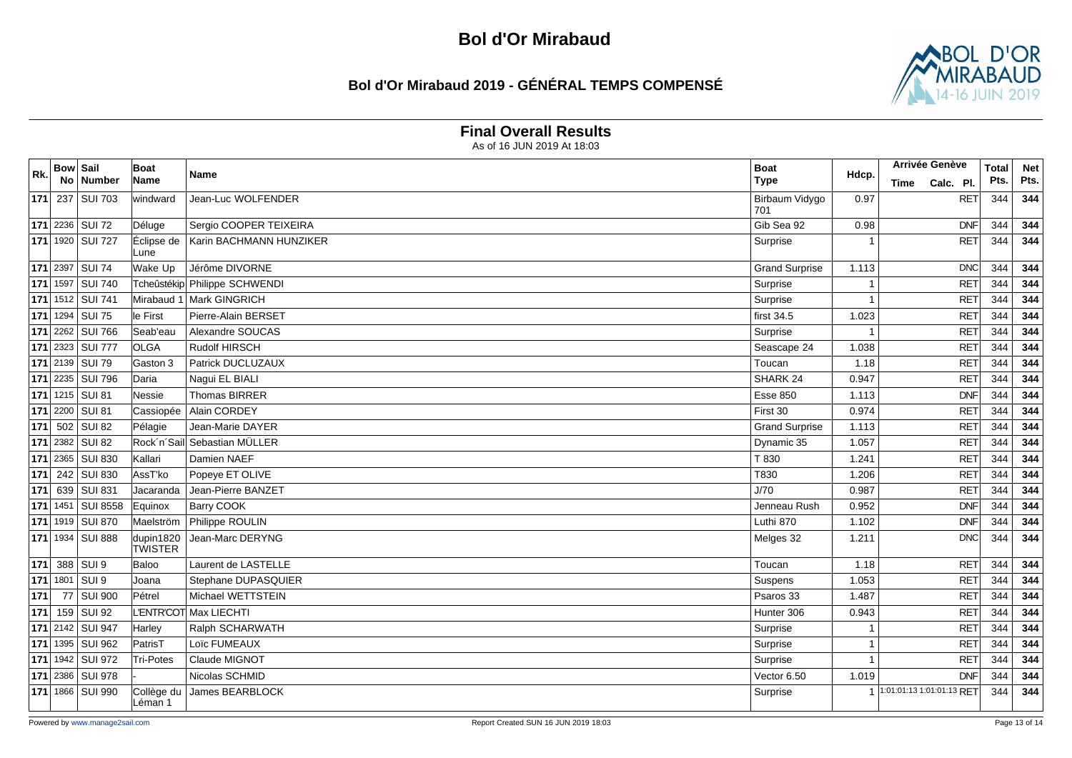### **Bol d'Or Mirabaud 2019 - GÉNÉRAL TEMPS COMPENSÉ**



#### **Final Overall Results**

| Rk. | <b>Bow Sail</b> |                         | Boat<br>Name                | Name                          | <b>Boat</b><br><b>Type</b> | Hdcp. | <b>Arrivée Genève</b>     | <b>Total</b> | <b>Net</b> |
|-----|-----------------|-------------------------|-----------------------------|-------------------------------|----------------------------|-------|---------------------------|--------------|------------|
|     |                 | No   Number             |                             |                               |                            |       | Calc. Pl.<br>Time         | Pts.         | Pts.       |
|     |                 | 171 237 SUI 703         | windward                    | Jean-Luc WOLFENDER            | Birbaum Vidygo<br>701      | 0.97  | <b>RET</b>                | 344          | 344        |
|     |                 | <b>171</b> 2236 SUI 72  | Déluge                      | Sergio COOPER TEIXEIRA        | Gib Sea 92                 | 0.98  | DNF                       | 344          | 344        |
|     |                 | 171 1920 SUI 727        | Éclipse de<br>Lune          | Karin BACHMANN HUNZIKER       | Surprise                   |       | RET                       | 344          | 344        |
|     | $171$ 2397      | <b>SUI 74</b>           | Wake Up                     | Jérôme DIVORNE                | <b>Grand Surprise</b>      | 1.113 | DNC                       | 344          | 344        |
|     | $171$ 1597      | <b>SUI 740</b>          |                             | Tcheûstékip Philippe SCHWENDI | Surprise                   |       | <b>RET</b>                | 344          | 344        |
|     |                 | 171 1512 SUI 741        | Mirabaud 1                  | Mark GINGRICH                 | Surprise                   |       | <b>RET</b>                | 344          | 344        |
|     |                 | 171 1294 SUI 75         | lle First                   | Pierre-Alain BERSET           | first 34.5                 | 1.023 | <b>RET</b>                | 344          | 344        |
|     |                 | 171 2262 SUI 766        | Seab'eau                    | Alexandre SOUCAS              | Surprise                   |       | <b>RET</b>                | 344          | 344        |
|     |                 | 171 2323 SUI 777        | <b>OLGA</b>                 | <b>Rudolf HIRSCH</b>          | Seascape 24                | 1.038 | <b>RET</b>                | 344          | 344        |
|     |                 | 171 2139 SUI 79         | Gaston 3                    | Patrick DUCLUZAUX             | Toucan                     | 1.18  | <b>RET</b>                | 344          | 344        |
|     |                 | <b>171</b> 2235 SUI 796 | Daria                       | Naqui EL BIALI                | SHARK <sub>24</sub>        | 0.947 | <b>RET</b>                | 344          | 344        |
|     |                 | 171 1215 SUI 81         | Nessie                      | Thomas BIRRER                 | <b>Esse 850</b>            | 1.113 | DNF                       | 344          | 344        |
|     | $171$ 2200      | SUI <sub>81</sub>       | Cassiopée                   | Alain CORDEY                  | First 30                   | 0.974 | <b>RET</b>                | 344          | 344        |
|     | $171$ 502       | SUI <sub>82</sub>       | Pélagie                     | Jean-Marie DAYER              | <b>Grand Surprise</b>      | 1.113 | <b>RET</b>                | 344          | 344        |
|     |                 | 171 2382 SUI 82         | Rock'n'Sail                 | Sebastian MÜLLER              | Dynamic 35                 | 1.057 | <b>RET</b>                | 344          | 344        |
|     |                 | 171 2365 SUI 830        | Kallari                     | Damien NAEF                   | T 830                      | 1.241 | <b>RET</b>                | 344          | 344        |
|     |                 | 171 242 SUI 830         | AssT'ko                     | Popeye ET OLIVE               | T830                       | 1.206 | <b>RET</b>                | 344          | 344        |
|     |                 | 171 639 SUI 831         | Jacaranda                   | Jean-Pierre BANZET            | J/70                       | 0.987 | <b>RET</b>                | 344          | 344        |
|     | $171$ 1451      | <b>SUI 8558</b>         | Equinox                     | <b>Barry COOK</b>             | Jenneau Rush               | 0.952 | DNF                       | 344          | 344        |
|     |                 | 171 1919 SUI 870        | Maelström                   | Philippe ROULIN               | Luthi 870                  | 1.102 | DNF                       | 344          | 344        |
|     |                 | 171 1934 SUI 888        | dupin1820<br><b>TWISTER</b> | Jean-Marc DERYNG              | Melges 32                  | 1.211 | DNC                       | 344          | 344        |
|     |                 | 171 388 SUI 9           | Baloo                       | Laurent de LASTELLE           | Toucan                     | 1.18  | <b>RET</b>                | 344          | 344        |
|     | 171 1801        | SUI 9                   | IJoana                      | Stephane DUPASQUIER           | Suspens                    | 1.053 | <b>RET</b>                | 344          | 344        |
| 171 | 77              | <b>SUI 900</b>          | Pétrel                      | Michael WETTSTEIN             | Psaros 33                  | 1.487 | <b>RET</b>                | 344          | 344        |
| 171 |                 | 159 SUI 92              |                             | L'ENTR'COT Max LIECHTI        | Hunter 306                 | 0.943 | <b>RET</b>                | 344          | 344        |
|     |                 | 171 2142 SUI 947        | Harley                      | Ralph SCHARWATH               | Surprise                   |       | <b>RET</b>                | 344          | 344        |
|     |                 | 171 1395 SUI 962        | PatrisT                     | Loïc FUMEAUX                  | Surprise                   | -1    | <b>RET</b>                | 344          | 344        |
|     |                 | 171 1942 SUI 972        | <b>Tri-Potes</b>            | Claude MIGNOT                 | Surprise                   |       | <b>RET</b>                | 344          | 344        |
|     |                 | 171 2386 SUI 978        |                             | Nicolas SCHMID                | Vector 6.50                | 1.019 | <b>DNF</b>                | 344          | 344        |
|     |                 | 171 1866 SUI 990        | Collège du<br>Léman 1       | James BEARBLOCK               | Surprise                   |       | 1:01:01:13 1:01:01:13 RET | 344          | 344        |